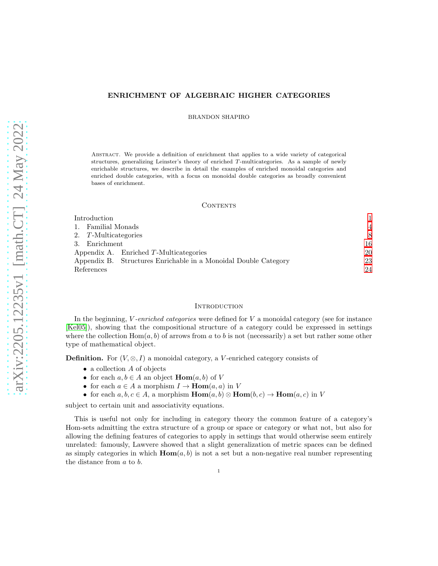## ENRICHMENT OF ALGEBRAIC HIGHER CATEGORIES

BRANDON SHAPIRO

Abstract. We provide a definition of enrichment that applies to a wide variety of categorical structures, generalizing Leinster's theory of enriched T-multicategories. As a sample of newly enrichable structures, we describe in detail the examples of enriched monoidal categories and enriched double categories, with a focus on monoidal double categories as broadly convenient bases of enrichment.

### CONTENTS

| Introduction                                                    |    |
|-----------------------------------------------------------------|----|
| Familial Monads                                                 | 4  |
| 2. T-Multicategories                                            | 8  |
| Enrichment<br>$3_{-}$                                           | 16 |
| Appendix A. Enriched $T$ -Multicategories                       | 20 |
| Appendix B. Structures Enrichable in a Monoidal Double Category | 23 |
| References                                                      | 24 |

## <span id="page-0-0"></span>**INTRODUCTION**

In the beginning,  $V$ -enriched categories were defined for  $V$  a monoidal category (see for instance [\[Kel05\]](#page-23-1)), showing that the compositional structure of a category could be expressed in settings where the collection  $Hom(a, b)$  of arrows from a to b is not (necessarily) a set but rather some other type of mathematical object.

**Definition.** For  $(V, \otimes, I)$  a monoidal category, a V-enriched category consists of

- $\bullet$  a collection  $A$  of objects
- for each  $a, b \in A$  an object **Hom** $(a, b)$  of V
- for each  $a \in A$  a morphism  $I \to \text{Hom}(a, a)$  in V
- for each  $a, b, c \in A$ , a morphism  $\text{Hom}(a, b) \otimes \text{Hom}(b, c) \to \text{Hom}(a, c)$  in V

subject to certain unit and associativity equations.

This is useful not only for including in category theory the common feature of a category's Hom-sets admitting the extra structure of a group or space or category or what not, but also for allowing the defining features of categories to apply in settings that would otherwise seem entirely unrelated: famously, Lawvere showed that a slight generalization of metric spaces can be defined as simply categories in which  $\text{Hom}(a, b)$  is not a set but a non-negative real number representing the distance from a to b.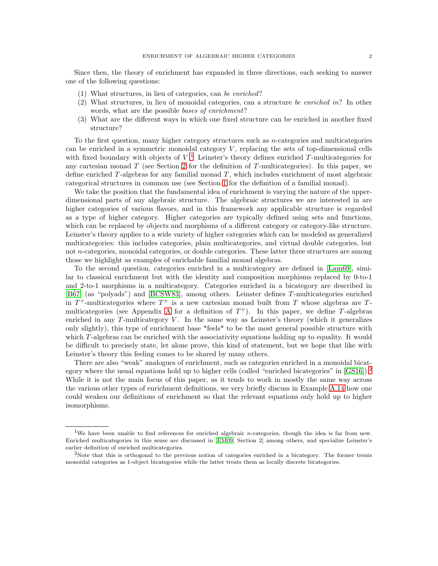Since then, the theory of enrichment has expanded in three directions, each seeking to answer one of the following questions:

- (1) What structures, in lieu of categories, can be enriched?
- (2) What structures, in lieu of monoidal categories, can a structure be enriched in? In other words, what are the possible bases of enrichment?
- (3) What are the different ways in which one fixed structure can be enriched in another fixed structure?

To the first question, many higher category structures such as  $n$ -categories and multicategories can be enriched in a symmetric monoidal category  $V$ , replacing the sets of top-dimensional cells with fixed boundary with objects of  $V<sup>1</sup>$  $V<sup>1</sup>$  $V<sup>1</sup>$ . Leinster's theory defines enriched T-multicategories for any cartesian monad  $T$  (see Section [2](#page-7-0) for the definition of  $T$ -multicategories). In this paper, we define enriched  $T$ -algebras for any familial monad  $T$ , which includes enrichment of most algebraic categorical structures in common use (see Section [1](#page-3-0) for the definition of a familial monad).

We take the position that the fundamental idea of enrichment is varying the nature of the upperdimensional parts of any algebraic structure. The algebraic structures we are interested in are higher categories of various flavors, and in this framework any applicable structure is regarded as a type of higher category. Higher categories are typically defined using sets and functions, which can be replaced by objects and morphisms of a different category or category-like structure. Leinster's theory applies to a wide variety of higher categories which can be modeled as generalized multicategories: this includes categories, plain multicategories, and virtual double categories, but not n-categories, monoidal categories, or double categories. These latter three structures are among those we highlight as examples of enrichable familial monad algebras.

To the second question, categories enriched in a multicategory are defined in [\[Lam69\]](#page-23-2), similar to classical enrichment but with the identity and composition morphisms replaced by 0-to-1 and 2-to-1 morphisms in a multicategory. Categories enriched in a bicategory are described in [B $67$ ] (as "polyads") and [\[BCSW83\]](#page-23-4), among others. Leinster defines T-multicategories enriched in  $T^+$ -multicategories where  $T^+$  is a new cartesian monad built from T whose algebras are T-multicategories (see [A](#page-19-0)ppendix A for a definition of  $T^+$ ). In this paper, we define T-algebras enriched in any  $T$ -multicategory  $V$ . In the same way as Leinster's theory (which it generalizes only slightly), this type of enrichment base \*feels\* to be the most general possible structure with which T-algebras can be enriched with the associativity equations holding up to equality. It would be difficult to precisely state, let alone prove, this kind of statement, but we hope that like with Leinster's theory this feeling comes to be shared by many others.

There are also "weak" analogues of enrichment, such as categories enriched in a monoidal bicat-egory where the usual equations hold up to higher cells (called "enriched bicategories" in [\[GS16\]](#page-23-5)).<sup>[2](#page-1-1)</sup> While it is not the main focus of this paper, as it tends to work in mostly the same way across the various other types of enrichment definitions, we very briefly discuss in Example [A.14](#page-22-1) how one could weaken our definitions of enrichment so that the relevant equations only hold up to higher isomorphisms.

<span id="page-1-0"></span><sup>&</sup>lt;sup>1</sup>We have been unable to find references for enriched algebraic *n*-categories, though the idea is far from new. Enriched multicategories in this sense are discussed in [\[EM09,](#page-23-6) Section 2] among others, and specialize Leinster's earlier definition of enriched multicategories.

<span id="page-1-1"></span><sup>&</sup>lt;sup>2</sup>Note that this is orthogonal to the previous notion of categories enriched in a bicategory. The former treats monoidal categories as 1-object bicategories while the latter treats them as locally discrete bicategories.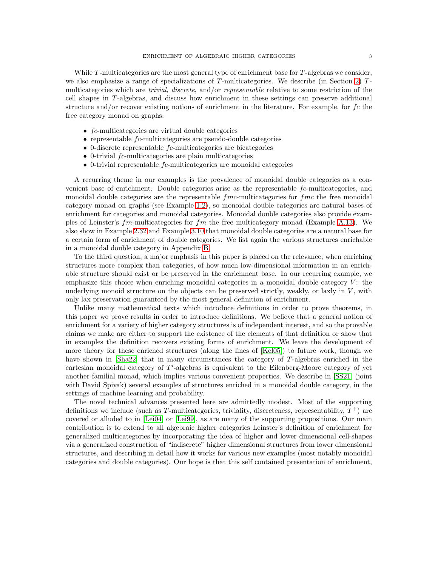While  $T$ -multicategories are the most general type of enrichment base for  $T$ -algebras we consider, we also emphasize a range of specializations of  $T$ -multicategories. We describe (in Section [2\)](#page-7-0)  $T$ multicategories which are *trivial*, *discrete*, and/or *representable* relative to some restriction of the cell shapes in T -algebras, and discuss how enrichment in these settings can preserve additional structure and/or recover existing notions of enrichment in the literature. For example, for  $fc$  the free category monad on graphs:

- fc-multicategories are virtual double categories
- representable fc-multicategories are pseudo-double categories
- $\bullet$  0-discrete representable  $fc$ -multicategories are bicategories
- $\bullet$  0-trivial  $fc$ -multicategories are plain multicategories
- $\bullet$  0-trivial representable  $fc$ -multicategories are monoidal categories

A recurring theme in our examples is the prevalence of monoidal double categories as a convenient base of enrichment. Double categories arise as the representable fc-multicategories, and monoidal double categories are the representable  $fmc$ -multicategories for  $fmc$  the free monoidal category monad on graphs (see Example [1.2\)](#page-3-1), so monoidal double categories are natural bases of enrichment for categories and monoidal categories. Monoidal double categories also provide examples of Leinster's  $fm$ -multicategories for  $fm$  the free multicategory monad (Example [A.13\)](#page-22-2). We also show in Example [2.32](#page-15-1) and Example [3.10](#page-18-0) that monoidal double categories are a natural base for a certain form of enrichment of double categories. We list again the various structures enrichable in a monoidal double category in Appendix [B.](#page-22-0)

To the third question, a major emphasis in this paper is placed on the relevance, when enriching structures more complex than categories, of how much low-dimensional information in an enrichable structure should exist or be preserved in the enrichment base. In our recurring example, we emphasize this choice when enriching monoidal categories in a monoidal double category  $V$ : the underlying monoid structure on the objects can be preserved strictly, weakly, or laxly in  $V$ , with only lax preservation guaranteed by the most general definition of enrichment.

Unlike many mathematical texts which introduce definitions in order to prove theorems, in this paper we prove results in order to introduce definitions. We believe that a general notion of enrichment for a variety of higher category structures is of independent interest, and so the provable claims we make are either to support the existence of the elements of that definition or show that in examples the definition recovers existing forms of enrichment. We leave the development of more theory for these enriched structures (along the lines of [\[Kel05\]](#page-23-1)) to future work, though we have shown in [\[Sha22\]](#page-23-7) that in many circumstances the category of T-algebras enriched in the cartesian monoidal category of T'-algebras is equivalent to the Eilenberg-Moore category of yet another familial monad, which implies various convenient properties. We describe in [\[SS21\]](#page-23-8) (joint with David Spivak) several examples of structures enriched in a monoidal double category, in the settings of machine learning and probability.

The novel technical advances presented here are admittedly modest. Most of the supporting definitions we include (such as T-multicategories, triviality, discreteness, representability,  $T^+$ ) are covered or alluded to in [\[Lei04\]](#page-23-9) or [\[Lei99\]](#page-23-10), as are many of the supporting propositions. Our main contribution is to extend to all algebraic higher categories Leinster's definition of enrichment for generalized multicategories by incorporating the idea of higher and lower dimensional cell-shapes via a generalized construction of "indiscrete" higher dimensional structures from lower dimensional structures, and describing in detail how it works for various new examples (most notably monoidal categories and double categories). Our hope is that this self contained presentation of enrichment,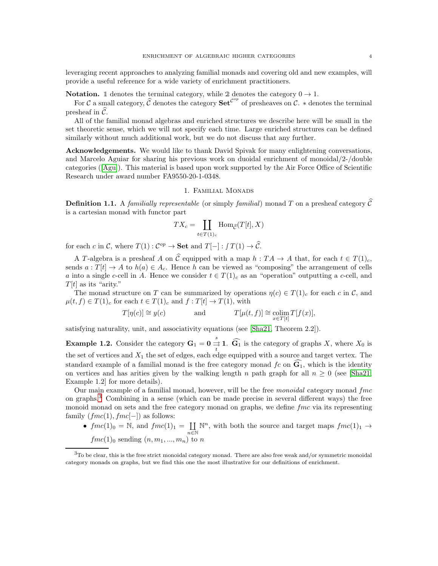leveraging recent approaches to analyzing familial monads and covering old and new examples, will provide a useful reference for a wide variety of enrichment practitioners.

**Notation.** 1 denotes the terminal category, while 2 denotes the category  $0 \rightarrow 1$ .

For C a small category,  $\hat{C}$  denotes the category  $\textbf{Set}^{\mathcal{C}^{op}}$  of presheaves on C.  $*$  denotes the terminal presheaf in  $\tilde{\mathcal{C}}$ .

All of the familial monad algebras and enriched structures we describe here will be small in the set theoretic sense, which we will not specify each time. Large enriched structures can be defined similarly without much additional work, but we do not discuss that any further.

Acknowledgements. We would like to thank David Spivak for many enlightening conversations, and Marcelo Aguiar for sharing his previous work on duoidal enrichment of monoidal/2-/double categories ([\[Agu\]](#page-23-11)). This material is based upon work supported by the Air Force Office of Scientific Research under award number FA9550-20-1-0348.

## 1. Familial Monads

<span id="page-3-3"></span><span id="page-3-0"></span>**Definition 1.1.** A familially representable (or simply familial) monad T on a presheaf category  $\hat{C}$ is a cartesian monad with functor part

$$
TX_c = \coprod_{t \in T(1)_c} \operatorname{Hom}_{\widehat{\mathcal{C}}}(T[t], X)
$$

for each c in C, where  $T(1) : C^{op} \to \mathbf{Set}$  and  $T[-] : f T(1) \to \hat{C}$ .

A T-algebra is a presheaf A on  $\hat{C}$  equipped with a map  $h : TA \rightarrow A$  that, for each  $t \in T(1)<sub>c</sub>$ , sends  $a: T[t] \to A$  to  $h(a) \in A_c$ . Hence h can be viewed as "composing" the arrangement of cells a into a single c-cell in A. Hence we consider  $t \in T(1)_c$  as an "operation" outputting a c-cell, and  $T[t]$  as its "arity."

The monad structure on T can be summarized by operations  $\eta(c) \in T(1)_c$  for each c in C, and  $\mu(t, f) \in T(1)_c$  for each  $t \in T(1)_c$  and  $f : T[t] \to T(1)$ , with

$$
T[\eta(c)] \cong y(c)
$$
 and  $T[\mu(t, f)] \cong \underset{x \in T[t]}{\text{colim}} T[f(x)],$ 

<span id="page-3-1"></span>satisfying naturality, unit, and associativity equations (see [\[Sha21,](#page-23-12) Theorem 2.2]).

**Example 1.2.** Consider the category  $G_1 = 0 \stackrel{s}{\rightrightarrows}$  $\underset{t}{\rightrightarrows}$  **1.**  $\mathbf{G}_1$  is the category of graphs X, where  $X_0$  is the set of vertices and  $X_1$  the set of edges, each edge equipped with a source and target vertex. The standard example of a familial monad is the free category monad  $fc$  on  $\tilde{G}_1$ , which is the identity on vertices and has arities given by the walking length n path graph for all  $n \geq 0$  (see [\[Sha21,](#page-23-12) Example 1.2] for more details).

Our main example of a familial monad, however, will be the free *monoidal* category monad  $fmc$ on graphs.[3](#page-3-2) Combining in a sense (which can be made precise in several different ways) the free monoid monad on sets and the free category monad on graphs, we define  $\ell$  fmc via its representing family  $(fmc(1), fmc[-])$  as follows:

•  $fmc(1)_0 = N$ , and  $fmc(1)_1 = \coprod$  $n\overline{\in}\mathbb{N}$  $\mathbb{N}^n$ , with both the source and target maps  $\text{frac}(1)_1 \rightarrow$  $fmc(1)_0$  sending  $(n, m_1, ..., m_n)$  to n

<span id="page-3-2"></span> $3T<sub>0</sub>$  be clear, this is the free strict monoidal category monad. There are also free weak and/or symmetric monoidal category monads on graphs, but we find this one the most illustrative for our definitions of enrichment.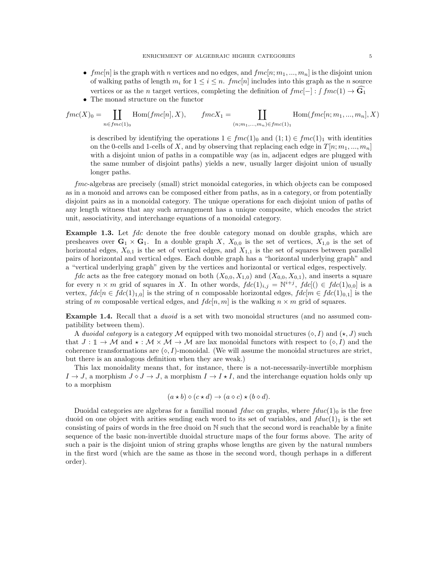- $fmc[n]$  is the graph with n vertices and no edges, and  $fmc[n; m_1, ..., m_n]$  is the disjoint union of walking paths of length  $m_i$  for  $1 \leq i \leq n$ . fmc $[n]$  includes into this graph as the n source vertices or as the n target vertices, completing the definition of  $fmc[-]$  :  $\int fmc(1) \rightarrow \mathbf{G}_1$
- The monad structure on the functor

$$
fmc(X)_0 = \coprod_{n \in fmc(1)_0} \text{Hom}(fmc[n], X), \qquad fmcX_1 = \coprod_{(n; m_1, \dots, m_n) \in fmc(1)_1} \text{Hom}(fmc[n; m_1, \dots, m_n], X)
$$

is described by identifying the operations  $1 \in \text{frac}(1)_0$  and  $(1; 1) \in \text{frac}(1)_1$  with identities on the 0-cells and 1-cells of X, and by observing that replacing each edge in  $T[n; m_1, ..., m_n]$ with a disjoint union of paths in a compatible way (as in, adjacent edges are plugged with the same number of disjoint paths) yields a new, usually larger disjoint union of usually longer paths.

fmc-algebras are precisely (small) strict monoidal categories, in which objects can be composed as in a monoid and arrows can be composed either from paths, as in a category, or from potentially disjoint pairs as in a monoidal category. The unique operations for each disjoint union of paths of any length witness that any such arrangement has a unique composite, which encodes the strict unit, associativity, and interchange equations of a monoidal category.

**Example 1.3.** Let fdc denote the free double category monad on double graphs, which are presheaves over  $\mathbf{G}_1 \times \mathbf{G}_1$ . In a double graph X,  $X_{0,0}$  is the set of vertices,  $X_{1,0}$  is the set of horizontal edges,  $X_{0,1}$  is the set of vertical edges, and  $X_{1,1}$  is the set of squares between parallel pairs of horizontal and vertical edges. Each double graph has a "horizontal underlying graph" and a "vertical underlying graph" given by the vertices and horizontal or vertical edges, respectively.

*fdc* acts as the free category monad on both  $(X_{0,0}, X_{1,0})$  and  $(X_{0,0}, X_{0,1})$ , and inserts a square for every  $n \times m$  grid of squares in X. In other words,  $fdc(1)_{i,j} = \mathbb{N}^{i+j}$ ,  $fdc[(i) \in fdc(1)_{0,0}]$  is a vertex,  $fdc[n \in fdc[1]_{1,0}]$  is the string of n composable horizontal edges,  $fdc[m \in fdc[1]_{0,1}]$  is the string of m composable vertical edges, and  $fdc[n, m]$  is the walking  $n \times m$  grid of squares.

**Example 1.4.** Recall that a *duoid* is a set with two monoidal structures (and no assumed compatibility between them).

A duoidal category is a category M equipped with two monoidal structures  $(\diamond, I)$  and  $(\star, J)$  such that  $J: \mathbb{I} \to \mathcal{M}$  and  $\star: \mathcal{M} \times \mathcal{M} \to \mathcal{M}$  are lax monoidal functors with respect to  $(\diamond, I)$  and the coherence transformations are  $(\diamond, I)$ -monoidal. (We will assume the monoidal structures are strict, but there is an analogous definition when they are weak.)

This lax monoidality means that, for instance, there is a not-necessarily-invertible morphism  $I \to J$ , a morphism  $J \circ J \to J$ , a morphism  $I \to I \star I$ , and the interchange equation holds only up to a morphism

$$
(a * b) \diamond (c * d) \rightarrow (a \diamond c) * (b \diamond d).
$$

Duoidal categories are algebras for a familial monad  $fduc$  on graphs, where  $fduc(1)<sub>0</sub>$  is the free duoid on one object with arities sending each word to its set of variables, and  $fduc(1)<sub>1</sub>$  is the set consisting of pairs of words in the free duoid on N such that the second word is reachable by a finite sequence of the basic non-invertible duoidal structure maps of the four forms above. The arity of such a pair is the disjoint union of string graphs whose lengths are given by the natural numbers in the first word (which are the same as those in the second word, though perhaps in a different order).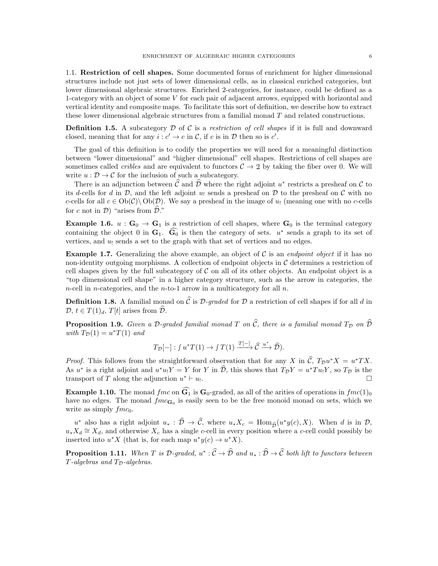1.1. Restriction of cell shapes. Some documented forms of enrichment for higher dimensional structures include not just sets of lower dimensional cells, as in classical enriched categories, but lower dimensional algebraic structures. Enriched 2-categories, for instance, could be defined as a 1-category with an object of some V for each pair of adjacent arrows, equipped with horizontal and vertical identity and composite maps. To facilitate this sort of definition, we describe how to extract these lower dimensional algebraic structures from a familial monad T and related constructions.

**Definition 1.5.** A subcategory D of C is a restriction of cell shapes if it is full and downward closed, meaning that for any  $i : c' \to c$  in C, if c is in D then so is c'.

The goal of this definition is to codify the properties we will need for a meaningful distinction between "lower dimensional" and "higher dimensional" cell shapes. Restrictions of cell shapes are sometimes called *cribles* and are equivalent to functors  $C \rightarrow 2$  by taking the fiber over 0. We will write  $u : \mathcal{D} \to \mathcal{C}$  for the inclusion of such a subcategory.

There is an adjunction between  $\hat{\mathcal{C}}$  and  $\hat{\mathcal{D}}$  where the right adjoint  $u^*$  restricts a presheaf on  $\mathcal{C}$  to its d-cells for d in  $\mathcal{D}$ , and the left adjoint  $u_1$  sends a presheaf on  $\mathcal{D}$  to the presheaf on C with no c-cells for all  $c \in Ob(\mathcal{C})\setminus Ob(\mathcal{D})$ . We say a presheaf in the image of  $u_1$  (meaning one with no c-cells for c not in  $\mathcal{D}$ ) "arises from  $\widehat{\mathcal{D}}$ ."

**Example 1.6.**  $u : G_0 \to G_1$  is a restriction of cell shapes, where  $G_0$  is the terminal category containing the object 0 in  $\mathbf{G}_1$ .  $\widetilde{\mathbf{G}_0}$  is then the category of sets.  $u^*$  sends a graph to its set of vertices, and  $u_1$  sends a set to the graph with that set of vertices and no edges.

<span id="page-5-1"></span>**Example 1.7.** Generalizing the above example, an object of C is an *endpoint object* if it has no non-identity outgoing morphisms. A collection of endpoint objects in  $\mathcal C$  determines a restriction of cell shapes given by the full subcategory of  $\mathcal C$  on all of its other objects. An endpoint object is a "top dimensional cell shape" in a higher category structure, such as the arrow in categories, the *n*-cell in *n*-categories, and the *n*-to-1 arrow in a multicategory for all *n*.

**Definition 1.8.** A familial monad on  $\hat{C}$  is D-graded for D a restriction of cell shapes if for all d in  $\mathcal{D}, t \in T(1)_d, T[t]$  arises from  $\widehat{\mathcal{D}}$ .

<span id="page-5-0"></span>**Proposition 1.9.** Given a D-graded familial monad T on  $\hat{C}$ , there is a familial monad  $T_D$  on  $\hat{D}$ with  $T_{\mathcal{D}}(1) = u^*T(1)$  and

$$
T_{\mathcal{D}}[-]:\int u^*T(1)\to \int T(1) \xrightarrow{T[-]} \widehat{\mathcal{C}} \xrightarrow{u^*} \widehat{\mathcal{D}}).
$$

*Proof.* This follows from the straightforward observation that for any X in  $\hat{C}$ ,  $T_{\mathcal{D}}u^*X = u^*TX$ . As  $u^*$  is a right adjoint and  $u^*u_!Y = Y$  for Y in  $\hat{\mathcal{D}}$ , this shows that  $T_{\mathcal{D}}Y = u^*Tu_!Y$ , so  $T_{\mathcal{D}}$  is the transport of T along the adjunction  $u^* \vdash u_!$ . В последните поставите на селото на селото на селото на селото на селото на селото на селото на селото на се<br>Селото на селото на селото на селото на селото на селото на селото на селото на селото на селото на селото на

**Example 1.10.** The monad fmc on  $\widehat{G}_1$  is  $G_0$ -graded, as all of the arities of operations in fmc(1)<sub>0</sub> have no edges. The monad  $fmc_{\mathbf{G}_0}$  is easily seen to be the free monoid monad on sets, which we write as simply  $fmc_0$ .

u<sup>\*</sup> also has a right adjoint  $u_* : \hat{\mathcal{D}} \to \hat{\mathcal{C}}$ , where  $u_*X_c = \text{Hom}_{\hat{\mathcal{D}}}(u^*y(c), X)$ . When d is in  $\mathcal{D}$ ,  $u_*X_d \cong X_d$ , and otherwise  $X_c$  has a single c-cell in every position where a c-cell could possibly be inserted into  $u^*X$  (that is, for each map  $u^*y(c) \to u^*X$ ).

**Proposition 1.11.** When T is D-graded,  $u^*: \hat{C} \to \hat{D}$  and  $u_* : \hat{D} \to \hat{C}$  both lift to functors between  $T$ -algebras and  $T_{\mathcal{D}}$ -algebras.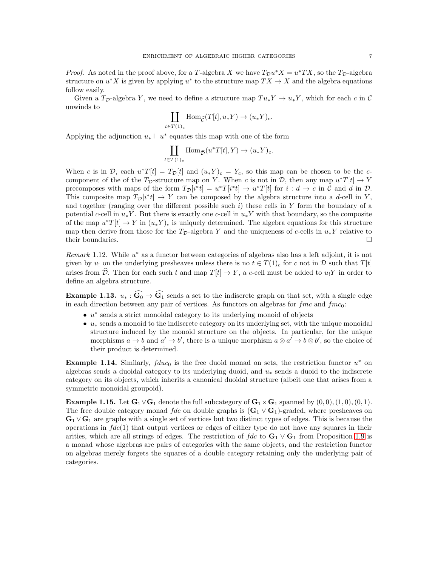*Proof.* As noted in the proof above, for a T-algebra X we have  $T_{\mathcal{D}}u^*X = u^*TX$ , so the  $T_{\mathcal{D}}$ -algebra structure on  $u^*X$  is given by applying  $u^*$  to the structure map  $TX \to X$  and the algebra equations follow easily.

Given a  $T_p$ -algebra Y, we need to define a structure map  $Tu_*Y \to u_*Y$ , which for each c in C unwinds to

$$
\coprod_{t \in T(1)_c} \text{Hom}_{\widehat{\mathcal{C}}}(T[t], u_* Y) \to (u_* Y)_c.
$$

Applying the adjunction  $u_* \vdash u^*$  equates this map with one of the form

$$
\coprod_{t \in T(1)_c} \text{Hom}_{\widehat{\mathcal{D}}}(u^*T[t], Y) \to (u_*Y)_c.
$$

When c is in D, each  $u^*T[t] = T_{\mathcal{D}}[t]$  and  $(u_*Y)_c = Y_c$ , so this map can be chosen to be the ccomponent of the of the T<sub>D</sub>-structure map on Y. When c is not in D, then any map  $u^*T[t] \to Y$ precomposes with maps of the form  $T_{\mathcal{D}}[i^*t] = u^*T[i^*t] \to u^*T[t]$  for  $i : d \to c$  in  $\mathcal{C}$  and  $d$  in  $\mathcal{D}$ . This composite map  $T_{\mathcal{D}}[i^*t] \to Y$  can be composed by the algebra structure into a d-cell in Y, and together (ranging over the different possible such  $i$ ) these cells in Y form the boundary of a potential c-cell in  $u_*Y$ . But there is exactly one c-cell in  $u_*Y$  with that boundary, so the composite of the map  $u^*T[t] \to Y$  in  $(u_*Y)_c$  is uniquely determined. The algebra equations for this structure map then derive from those for the  $T<sub>D</sub>$ -algebra Y and the uniqueness of c-cells in  $u_*Y$  relative to their boundaries.  $\Box$ 

 $Remark 1.12. While  $u^*$  as a functor between categories of algebras also has a left adjoint, it is not$ given by  $u_!$  on the underlying presheaves unless there is no  $t \in T(1)_c$  for c not in D such that  $T[t]$ arises from  $\hat{\mathcal{D}}$ . Then for each such t and map  $T[t] \to Y$ , a c-cell must be added to  $u_1 Y$  in order to define an algebra structure.

**Example 1.13.**  $u_* : \widehat{G_0} \to \widehat{G_1}$  sends a set to the indiscrete graph on that set, with a single edge in each direction between any pair of vertices. As functors on algebras for  $\mathfrak{f}_{mc}$  and  $\mathfrak{f}_{mc}$ .

- u ∗ sends a strict monoidal category to its underlying monoid of objects
- $u_*$  sends a monoid to the indiscrete category on its underlying set, with the unique monoidal structure induced by the monoid structure on the objects. In particular, for the unique morphisms  $a \to b$  and  $a' \to b'$ , there is a unique morphism  $a \otimes a' \to b \otimes b'$ , so the choice of their product is determined.

**Example 1.14.** Similarly,  $fduc_0$  is the free duoid monad on sets, the restriction functor  $u^*$  on algebras sends a duoidal category to its underlying duoid, and  $u_*$  sends a duoid to the indiscrete category on its objects, which inherits a canonical duoidal structure (albeit one that arises from a symmetric monoidal groupoid).

Example 1.15. Let  $\mathbf{G}_1 \vee \mathbf{G}_1$  denote the full subcategory of  $\mathbf{G}_1 \times \mathbf{G}_1$  spanned by  $(0,0), (1,0), (0,1)$ . The free double category monad fdc on double graphs is  $(G_1 \vee G_1)$ -graded, where presheaves on  $\mathbf{G}_1 \vee \mathbf{G}_1$  are graphs with a single set of vertices but two distinct types of edges. This is because the operations in  $fdc(1)$  that output vertices or edges of either type do not have any squares in their arities, which are all strings of edges. The restriction of  $fdc$  to  $G_1 \vee G_1$  from Proposition [1.9](#page-5-0) is a monad whose algebras are pairs of categories with the same objects, and the restriction functor on algebras merely forgets the squares of a double category retaining only the underlying pair of categories.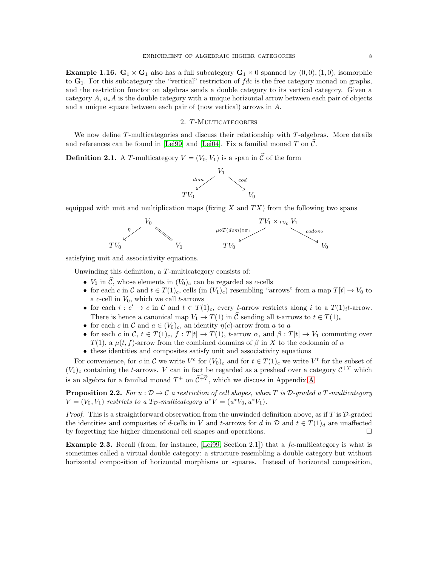**Example 1.16.**  $G_1 \times G_1$  also has a full subcategory  $G_1 \times 0$  spanned by  $(0,0), (1,0)$ , isomorphic to  $\mathbf{G}_1$ . For this subcategory the "vertical" restriction of  $fdc$  is the free category monad on graphs, and the restriction functor on algebras sends a double category to its vertical category. Given a category  $A, u_*A$  is the double category with a unique horizontal arrow between each pair of objects and a unique square between each pair of (now vertical) arrows in A.

## 2. T-MULTICATEGORIES

<span id="page-7-1"></span><span id="page-7-0"></span>We now define  $T$ -multicategories and discuss their relationship with  $T$ -algebras. More details and references can be found in [\[Lei99\]](#page-23-10) and [\[Lei04\]](#page-23-9). Fix a familial monad T on  $\mathcal C$ .

**Definition 2.1.** A T-multicategory  $V = (V_0, V_1)$  is a span in  $\hat{\mathcal{C}}$  of the form



equipped with unit and multiplication maps (fixing  $X$  and  $TX$ ) from the following two spans



satisfying unit and associativity equations.

Unwinding this definition, a  $T$ -multicategory consists of:

- $V_0$  in  $\hat{\mathcal{C}}$ , whose elements in  $(V_0)_c$  can be regarded as c-cells
- for each c in C and  $t \in T(1)_c$ , cells (in  $(V_1)_c$ ) resembling "arrows" from a map  $T[t] \to V_0$  to a  $c$ -cell in  $V_0$ , which we call  $t$ -arrows
- for each  $i : c' \to c$  in  $\mathcal C$  and  $t \in T(1)_c$ , every t-arrow restricts along i to a  $T(1)_i t$ -arrow. There is hence a canonical map  $V_1 \to T(1)$  in  $\hat{C}$  sending all t-arrows to  $t \in T(1)_c$
- for each c in C and  $a \in (V_0)_c$ , an identity  $\eta(c)$ -arrow from a to a
- for each c in C,  $t \in T(1)_c$ ,  $f : T[t] \to T(1)$ , t-arrow  $\alpha$ , and  $\beta : T[t] \to V_1$  commuting over T(1), a  $\mu(t, f)$ -arrow from the combined domains of  $\beta$  in X to the codomain of  $\alpha$
- these identities and composites satisfy unit and associativity equations

For convenience, for c in C we write  $V^c$  for  $(V_0)_c$  and for  $t \in T(1)_c$  we write  $V^t$  for the subset of  $(V_1)_c$  containing the t-arrows. V can in fact be regarded as a presheaf over a category  $C^{+T}$  which is an algebra for a familial monad  $T^+$  on  $C^{+T}$ , which we discuss in Appendix [A.](#page-19-0)

**Proposition 2.2.** For  $u : \mathcal{D} \to \mathcal{C}$  a restriction of cell shapes, when T is  $\mathcal{D}$ -graded a T-multicategory  $V = (V_0, V_1)$  restricts to a  $T_{\mathcal{D}}$ -multicategory  $u^*V = (u^*V_0, u^*V_1)$ .

*Proof.* This is a straightforward observation from the unwinded definition above, as if  $T$  is  $D$ -graded the identities and composites of d-cells in V and t-arrows for d in D and  $t \in T(1)<sub>d</sub>$  are unaffected by forgetting the higher dimensional cell shapes and operations.

**Example 2.3.** Recall (from, for instance,  $[Lei99, Section 2.1]$ ) that a  $fc$ -multicategory is what is sometimes called a virtual double category: a structure resembling a double category but without horizontal composition of horizontal morphisms or squares. Instead of horizontal composition,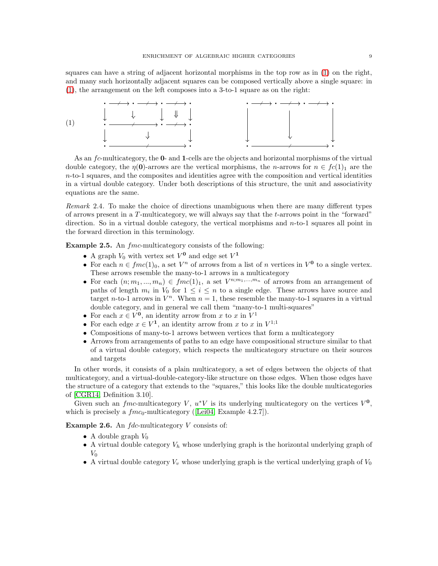squares can have a string of adjacent horizontal morphisms in the top row as in [\(1\)](#page-8-0) on the right, and many such horizontally adjacent squares can be composed vertically above a single square: in [\(1\)](#page-8-0), the arrangement on the left composes into a 3-to-1 square as on the right:

<span id="page-8-0"></span>

As an fc-multicategory, the **0-** and **1**-cells are the objects and horizontal morphisms of the virtual double category, the  $\eta(\mathbf{0})$ -arrows are the vertical morphisms, the *n*-arrows for  $n \in f_c(1)_1$  are the  $n$ -to-1 squares, and the composites and identities agree with the composition and vertical identities in a virtual double category. Under both descriptions of this structure, the unit and associativity equations are the same.

Remark 2.4. To make the choice of directions unambiguous when there are many different types of arrows present in a  $T$ -multicategory, we will always say that the  $t$ -arrows point in the "forward" direction. So in a virtual double category, the vertical morphisms and  $n$ -to-1 squares all point in the forward direction in this terminology.

Example 2.5. An  $\emph{frac-multicate}$  consists of the following:

- $\bullet$  A graph  $V_0$  with vertex set  $V^{\mathbf{0}}$  and edge set  $V^{\mathbf{1}}$
- For each  $n \in fmc(1)_0$ , a set  $V^n$  of arrows from a list of n vertices in  $V^0$  to a single vertex. These arrows resemble the many-to-1 arrows in a multicategory
- For each  $(n; m_1, ..., m_n) \in fmc(1)_1$ , a set  $V^{n; m_1, ..., m_n}$  of arrows from an arrangement of paths of length  $m_i$  in  $V_0$  for  $1 \leq i \leq n$  to a single edge. These arrows have source and target *n*-to-1 arrows in  $V^n$ . When  $n = 1$ , these resemble the many-to-1 squares in a virtual double category, and in general we call them "many-to-1 multi-squares"
- For each  $x \in V^0$ , an identity arrow from x to x in  $V^1$
- For each edge  $x \in V^1$ , an identity arrow from x to x in  $V^{1,1}$
- Compositions of many-to-1 arrows between vertices that form a multicategory
- Arrows from arrangements of paths to an edge have compositional structure similar to that of a virtual double category, which respects the multicategory structure on their sources and targets

In other words, it consists of a plain multicategory, a set of edges between the objects of that multicategory, and a virtual-double-category-like structure on those edges. When those edges have the structure of a category that extends to the "squares," this looks like the double multicategories of [\[CGR14,](#page-23-13) Definition 3.10].

Given such an fmc-multicategory V,  $u^*V$  is its underlying multicategory on the vertices  $V^0$ , which is precisely a  $fmc_0$ -multicategory ([\[Lei04,](#page-23-9) Example 4.2.7]).

**Example 2.6.** An  $fdc$ -multicategory  $V$  consists of:

- A double graph  $V_0$
- A virtual double category  $V_h$  whose underlying graph is the horizontal underlying graph of  $V_0$
- A virtual double category  $V_v$  whose underlying graph is the vertical underlying graph of  $V_0$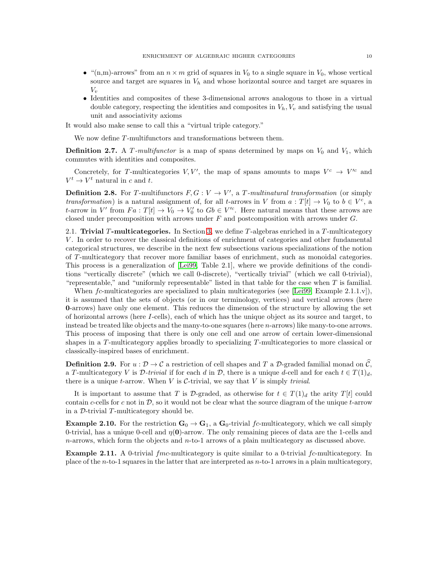- "(n,m)-arrows" from an  $n \times m$  grid of squares in  $V_0$  to a single square in  $V_0$ , whose vertical source and target are squares in  $V<sub>h</sub>$  and whose horizontal source and target are squares in  $V_v$
- Identities and composites of these 3-dimensional arrows analogous to those in a virtual double category, respecting the identities and composites in  $V_h, V_v$  and satisfying the usual unit and associativity axioms

It would also make sense to call this a "virtual triple category."

We now define T-multifunctors and transformations between them.

**Definition 2.7.** A T-multifunctor is a map of spans determined by maps on  $V_0$  and  $V_1$ , which commutes with identities and composites.

Concretely, for T-multicategories V, V', the map of spans amounts to maps  $V^c \rightarrow V'^c$  and  $V^t \rightarrow V^t$  natural in c and t.

**Definition 2.8.** For T-multifunctors  $F, G: V \to V'$ , a T-multinatural transformation (or simply transformation) is a natural assignment of, for all t-arrows in V from  $a: T[t] \to V_0$  to  $b \in V^c$ , a t-arrow in V' from  $Fa: T[t] \to V_0 \to V'_0$  to  $Gb \in V'^c$ . Here natural means that these arrows are closed under precomposition with arrows under  $F$  and postcomposition with arrows under  $G$ .

2.1. Trivial T-multicategories. In Section [3,](#page-15-0) we define T-algebras enriched in a T-multicategory V . In order to recover the classical definitions of enrichment of categories and other fundamental categorical structures, we describe in the next few subsections various specializations of the notion of T -multicategory that recover more familiar bases of enrichment, such as monoidal categories. This process is a generalization of [\[Lei99,](#page-23-10) Table 2.1], where we provide definitions of the conditions "vertically discrete" (which we call 0-discrete), "vertically trivial" (which we call 0-trivial), "representable," and "uniformly representable" listed in that table for the case when T is familial.

When  $fc$ -multicategories are specialized to plain multicategories (see [\[Lei99,](#page-23-10) Example 2.1.1.v]), it is assumed that the sets of objects (or in our terminology, vertices) and vertical arrows (here 0-arrows) have only one element. This reduces the dimension of the structure by allowing the set of horizontal arrows (here I-cells), each of which has the unique object as its source and target, to instead be treated like objects and the many-to-one squares (here n-arrows) like many-to-one arrows. This process of imposing that there is only one cell and one arrow of certain lower-dimensional shapes in a T-multicategory applies broadly to specializing T-multicategories to more classical or classically-inspired bases of enrichment.

**Definition 2.9.** For  $u : \mathcal{D} \to \mathcal{C}$  a restriction of cell shapes and T a D-graded familial monad on  $\widehat{\mathcal{C}}$ , a T-multicategory V is  $\mathcal{D}\text{-}trivial$  if for each d in  $\mathcal{D}$ , there is a unique d-cell and for each  $t \in T(1)_d$ , there is a unique t-arrow. When  $V$  is  $\mathcal{C}\text{-trivial}$ , we say that  $V$  is simply *trivial*.

It is important to assume that T is D-graded, as otherwise for  $t \in T(1)<sub>d</sub>$  the arity  $T[t]$  could contain c-cells for c not in  $D$ , so it would not be clear what the source diagram of the unique t-arrow in a  $\mathcal{D}$ -trivial T-multicategory should be.

**Example 2.10.** For the restriction  $\mathbf{G}_0 \to \mathbf{G}_1$ , a  $\mathbf{G}_0$ -trivial fc-multicategory, which we call simply 0-trivial, has a unique 0-cell and  $\eta(0)$ -arrow. The only remaining pieces of data are the 1-cells and  $n$ -arrows, which form the objects and  $n$ -to-1 arrows of a plain multicategory as discussed above.

**Example 2.11.** A 0-trivial  $\mathit{fmc}\text{-multicategory}$  is quite similar to a 0-trivial  $\mathit{fc}\text{-multicategory}$ . In place of the n-to-1 squares in the latter that are interpreted as  $n$ -to-1 arrows in a plain multicategory,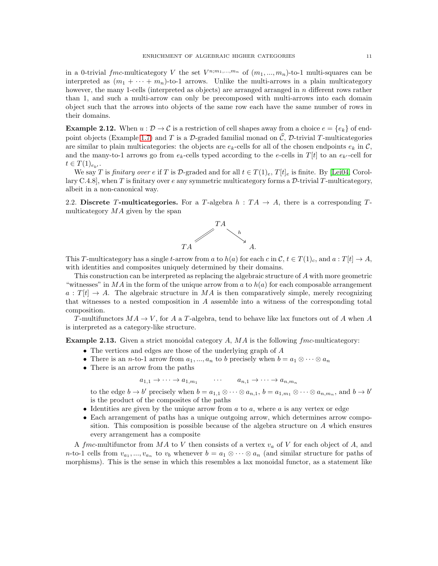in a 0-trivial fmc-multicategory V the set  $V^{n;m_1,...,m_n}$  of  $(m_1,...,m_n)$ -to-1 multi-squares can be interpreted as  $(m_1 + \cdots + m_n)$ -to-1 arrows. Unlike the multi-arrows in a plain multicategory however, the many 1-cells (interpreted as objects) are arranged arranged in n different rows rather than 1, and such a multi-arrow can only be precomposed with multi-arrows into each domain object such that the arrows into objects of the same row each have the same number of rows in their domains.

**Example 2.12.** When  $u : \mathcal{D} \to \mathcal{C}$  is a restriction of cell shapes away from a choice  $e = \{e_k\}$  of end-point objects (Example [1.7\)](#page-5-1) and T is a D-graded familial monad on  $\hat{\mathcal{C}}$ , D-trivial T-multicategories are similar to plain multicategories: the objects are  $e_k$ -cells for all of the chosen endpoints  $e_k$  in C, and the many-to-1 arrows go from  $e_k$ -cells typed according to the e-cells in  $T[t]$  to an  $e_{k'}$ -cell for  $t \in T(1)_{e_{k'}}$ .

We say T is finitary over e if T is D-graded and for all  $t \in T(1)_e$ ,  $T[t]_e$  is finite. By [\[Lei04,](#page-23-9) Corollary C.4.8], when T is finitary over e any symmetric multicategory forms a  $\mathcal{D}$ -trivial T-multicategory, albeit in a non-canonical way.

2.2. Discrete T-multicategories. For a T-algebra  $h : TA \rightarrow A$ , there is a corresponding Tmulticategory  $MA$  given by the span



This T-multicategory has a single t-arrow from a to  $h(a)$  for each c in  $\mathcal{C}, t \in T(1)_c$ , and  $a : T[t] \to A$ , with identities and composites uniquely determined by their domains.

This construction can be interpreted as replacing the algebraic structure of A with more geometric "witnesses" in MA in the form of the unique arrow from a to  $h(a)$  for each composable arrangement  $a: T[t] \rightarrow A$ . The algebraic structure in MA is then comparatively simple, merely recognizing that witnesses to a nested composition in A assemble into a witness of the corresponding total composition.

T-multifunctors  $MA \rightarrow V$ , for A a T-algebra, tend to behave like lax functors out of A when A is interpreted as a category-like structure.

**Example 2.13.** Given a strict monoidal category  $A$ ,  $MA$  is the following  $\emph{frac{-}$  multicategory:

- The vertices and edges are those of the underlying graph of A
- There is an *n*-to-1 arrow from  $a_1, ..., a_n$  to b precisely when  $b = a_1 \otimes \cdots \otimes a_n$
- There is an arrow from the paths

 $a_{1,1} \rightarrow \cdots \rightarrow a_{1,m_1} \qquad \cdots \qquad a_{n,1} \rightarrow \cdots \rightarrow a_{n,m_n}$ 

to the edge  $b \to b'$  precisely when  $b = a_{1,1} \otimes \cdots \otimes a_{n,1}$ ,  $b = a_{1,m_1} \otimes \cdots \otimes a_{n,m_n}$ , and  $b \to b'$ is the product of the composites of the paths

- Identities are given by the unique arrow from  $a$  to  $a$ , where  $a$  is any vertex or edge
- Each arrangement of paths has a unique outgoing arrow, which determines arrow composition. This composition is possible because of the algebra structure on A which ensures every arrangement has a composite

A fmc-multifunctor from  $MA$  to V then consists of a vertex  $v_a$  of V for each object of A, and *n*-to-1 cells from  $v_{a_1},...,v_{a_n}$  to  $v_b$  whenever  $b = a_1 \otimes \cdots \otimes a_n$  (and similar structure for paths of morphisms). This is the sense in which this resembles a lax monoidal functor, as a statement like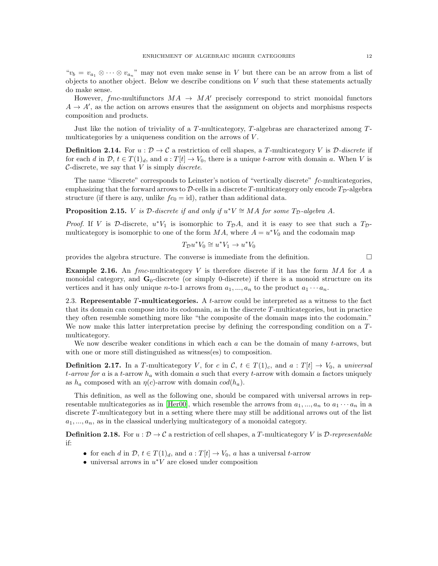" $v_b = v_{a_1} \otimes \cdots \otimes v_{a_n}$ " may not even make sense in V but there can be an arrow from a list of objects to another object. Below we describe conditions on  $V$  such that these statements actually do make sense.

However, fmc-multifunctors  $MA \rightarrow MA'$  precisely correspond to strict monoidal functors  $A \rightarrow A'$ , as the action on arrows ensures that the assignment on objects and morphisms respects composition and products.

Just like the notion of triviality of a  $T$ -multicategory,  $T$ -algebras are characterized among  $T$ multicategories by a uniqueness condition on the arrows of  $V$ .

**Definition 2.14.** For  $u : \mathcal{D} \to \mathcal{C}$  a restriction of cell shapes, a T-multicategory V is  $\mathcal{D}\text{-}discrete$  if for each d in  $\mathcal{D}, t \in T(1)_d$ , and  $a: T[t] \to V_0$ , there is a unique t-arrow with domain a. When V is C-discrete, we say that  $V$  is simply *discrete*.

The name "discrete" corresponds to Leinster's notion of "vertically discrete" fc-multicategories, emphasizing that the forward arrows to  $\mathcal{D}$ -cells in a discrete T-multicategory only encode  $T_{\mathcal{D}}$ -algebra structure (if there is any, unlike  $fc_0 = id$ ), rather than additional data.

**Proposition 2.15.** *V* is *D*-discrete if and only if  $u^*V \cong MA$  for some  $T_D$ -algebra A.

*Proof.* If V is D-discrete,  $u^*V_1$  is isomorphic to  $T_{\mathcal{D}}A$ , and it is easy to see that such a  $T_{\mathcal{D}}$ multicategory is isomorphic to one of the form  $MA$ , where  $A = u^*V_0$  and the codomain map

$$
T_{\mathcal{D}}u^*V_0 \cong u^*V_1 \to u^*V_0
$$

provides the algebra structure. The converse is immediate from the definition.  $\Box$ 

**Example 2.16.** An fmc-multicategory V is therefore discrete if it has the form  $MA$  for A a monoidal category, and  $\mathbf{G}_0$ -discrete (or simply 0-discrete) if there is a monoid structure on its vertices and it has only unique *n*-to-1 arrows from  $a_1, ..., a_n$  to the product  $a_1 \cdots a_n$ .

2.3. Representable T-multicategories. A t-arrow could be interpreted as a witness to the fact that its domain can compose into its codomain, as in the discrete T -multicategories, but in practice they often resemble something more like "the composite of the domain maps into the codomain." We now make this latter interpretation precise by defining the corresponding condition on a Tmulticategory.

We now describe weaker conditions in which each  $a$  can be the domain of many t-arrows, but with one or more still distinguished as witness(es) to composition.

**Definition 2.17.** In a T-multicategory V, for c in  $\mathcal{C}$ ,  $t \in T(1)_c$ , and  $a : T[t] \to V_0$ , a universal t-arrow for a is a t-arrow  $h_a$  with domain a such that every t-arrow with domain a factors uniquely as  $h_a$  composed with an  $\eta(c)$ -arrow with domain  $cod(h_a)$ .

This definition, as well as the following one, should be compared with universal arrows in rep-resentable multicategories as in [\[Her00\]](#page-23-14), which resemble the arrows from  $a_1, ..., a_n$  to  $a_1 \cdots a_n$  in a discrete T-multicategory but in a setting where there may still be additional arrows out of the list  $a_1, \ldots, a_n$ , as in the classical underlying multicategory of a monoidal category.

**Definition 2.18.** For  $u : \mathcal{D} \to \mathcal{C}$  a restriction of cell shapes, a T-multicategory V is  $\mathcal{D}$ -representable if:

- for each d in  $\mathcal{D}, t \in T(1)_d$ , and  $a: T[t] \to V_0$ , a has a universal t-arrow
- universal arrows in  $u^*V$  are closed under composition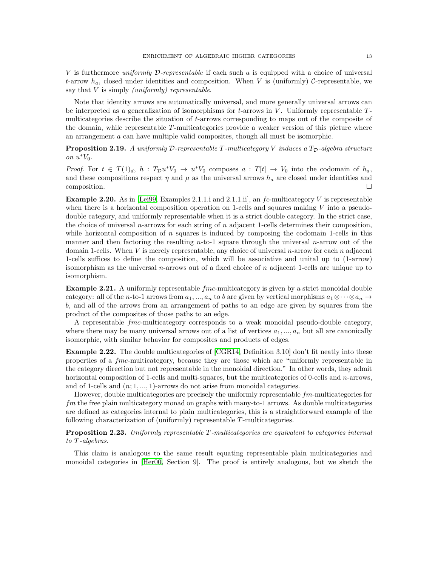V is furthermore *uniformly D-representable* if each such a is equipped with a choice of universal t-arrow  $h_a$ , closed under identities and composition. When V is (uniformly) C-representable, we say that  $V$  is simply *(uniformly)* representable.

Note that identity arrows are automatically universal, and more generally universal arrows can be interpreted as a generalization of isomorphisms for  $t$ -arrows in  $V$ . Uniformly representable  $T$ multicategories describe the situation of t-arrows corresponding to maps out of the composite of the domain, while representable T -multicategories provide a weaker version of this picture where an arrangement a can have multiple valid composites, though all must be isomorphic.

<span id="page-12-0"></span>**Proposition 2.19.** A uniformly D-representable T-multicategory V induces a  $T<sub>D</sub>$ -algebra structure on  $u^*V_0$ .

*Proof.* For  $t \in T(1)_d$ ,  $h : T_{\mathcal{D}}u^*V_0 \to u^*V_0$  composes  $a : T[t] \to V_0$  into the codomain of  $h_a$ , and these compositions respect  $\eta$  and  $\mu$  as the universal arrows  $h_a$  are closed under identities and  $\Box$ composition.

<span id="page-12-1"></span>**Example 2.20.** As in [\[Lei99,](#page-23-10) Examples 2.1.1.i and 2.1.1.ii], an  $fc$ -multicategory V is representable when there is a horizontal composition operation on 1-cells and squares making  $V$  into a pseudodouble category, and uniformly representable when it is a strict double category. In the strict case, the choice of universal n-arrows for each string of n adjacent 1-cells determines their composition, while horizontal composition of n squares is induced by composing the codomain 1-cells in this manner and then factoring the resulting  $n$ -to-1 square through the universal  $n$ -arrow out of the domain 1-cells. When  $V$  is merely representable, any choice of universal  $n$ -arrow for each  $n$  adjacent 1-cells suffices to define the composition, which will be associative and unital up to (1-arrow) isomorphism as the universal n-arrows out of a fixed choice of n adjacent 1-cells are unique up to isomorphism.

**Example 2.21.** A uniformly representable *fmc*-multicategory is given by a strict monoidal double category: all of the n-to-1 arrows from  $a_1, ..., a_n$  to b are given by vertical morphisms  $a_1 \otimes \cdots \otimes a_n \to$ b, and all of the arrows from an arrangement of paths to an edge are given by squares from the product of the composites of those paths to an edge.

A representable fmc-multicategory corresponds to a weak monoidal pseudo-double category, where there may be many universal arrows out of a list of vertices  $a_1, ..., a_n$  but all are canonically isomorphic, with similar behavior for composites and products of edges.

<span id="page-12-3"></span>**Example 2.22.** The double multicategories of [\[CGR14,](#page-23-13) Definition 3.10] don't fit neatly into these properties of a fmc-multicategory, because they are those which are "uniformly representable in the category direction but not representable in the monoidal direction." In other words, they admit horizontal composition of 1-cells and multi-squares, but the multicategories of 0-cells and  $n$ -arrows, and of 1-cells and  $(n; 1, \ldots, 1)$ -arrows do not arise from monoidal categories.

However, double multicategories are precisely the uniformly representable  $fm$ -multicategories for fm the free plain multicategory monad on graphs with many-to-1 arrows. As double multicategories are defined as categories internal to plain multicategories, this is a straightforward example of the following characterization of (uniformly) representable T-multicategories.

<span id="page-12-2"></span>**Proposition 2.23.** Uniformly representable T-multicategories are equivalent to categories internal to T -algebras.

This claim is analogous to the same result equating representable plain multicategories and monoidal categories in [\[Her00,](#page-23-14) Section 9]. The proof is entirely analogous, but we sketch the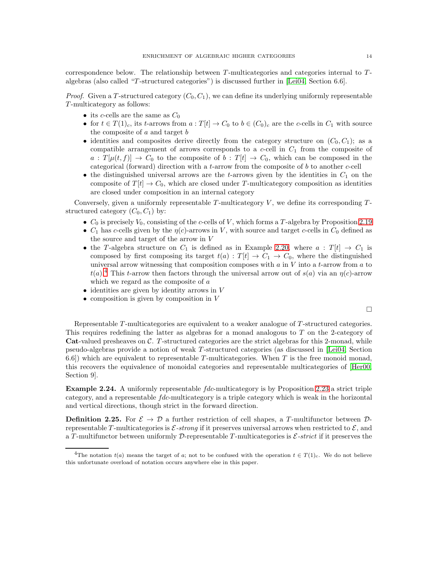correspondence below. The relationship between  $T$ -multicategories and categories internal to  $T$ algebras (also called "T -structured categories") is discussed further in [\[Lei04,](#page-23-9) Section 6.6].

*Proof.* Given a T-structured category  $(C_0, C_1)$ , we can define its underlying uniformly representable T -multicategory as follows:

- its c-cells are the same as  $C_0$
- for  $t \in T(1)_c$ , its t-arrows from  $a: T[t] \to C_0$  to  $b \in (C_0)_c$  are the c-cells in  $C_1$  with source the composite of  $a$  and target  $b$
- identities and composites derive directly from the category structure on  $(C_0, C_1)$ ; as a compatible arrangement of arrows corresponds to a  $c$ -cell in  $C_1$  from the composite of  $a: T[\mu(t, f)] \to C_0$  to the composite of  $b: T[t] \to C_0$ , which can be composed in the categorical (forward) direction with a t-arrow from the composite of  $b$  to another c-cell
- the distinguished universal arrows are the t-arrows given by the identities in  $C_1$  on the composite of  $T[t] \to C_0$ , which are closed under T-multicategory composition as identities are closed under composition in an internal category

Conversely, given a uniformly representable  $T$ -multicategory  $V$ , we define its corresponding  $T$ structured category  $(C_0, C_1)$  by:

- $C_0$  is precisely  $V_0$ , consisting of the c-cells of V, which forms a T-algebra by Proposition [2.19](#page-12-0)
- $C_1$  has c-cells given by the  $\eta(c)$ -arrows in V, with source and target c-cells in  $C_0$  defined as the source and target of the arrow in V
- the T-algebra structure on  $C_1$  is defined as in Example [2.20,](#page-12-1) where  $a: T[t] \rightarrow C_1$  is composed by first composing its target  $t(a) : T[t] \to C_1 \to C_0$ , where the distinguished universal arrow witnessing that composition composes with  $a$  in  $V$  into a  $t$ -arrow from  $a$  to  $t(a)$ <sup>[4](#page-13-0)</sup>. This t-arrow then factors through the universal arrow out of  $s(a)$  via an  $\eta(c)$ -arrow which we regard as the composite of a
- $\bullet$  identities are given by identity arrows in V
- $\bullet$  composition is given by composition in V

 $\Box$ 

Representable T-multicategories are equivalent to a weaker analogue of T-structured categories. This requires redefining the latter as algebras for a monad analogous to T on the 2-category of Cat-valued presheaves on  $\mathcal{C}$ . T-structured categories are the strict algebras for this 2-monad, while pseudo-algebras provide a notion of weak T -structured categories (as discussed in [\[Lei04,](#page-23-9) Section 6.6) which are equivalent to representable T-multicategories. When T is the free monoid monad, this recovers the equivalence of monoidal categories and representable multicategories of [\[Her00,](#page-23-14) Section 9].

Example 2.24. A uniformly representable  $fdc$ -multicategory is by Proposition [2.23](#page-12-2) a strict triple category, and a representable fdc-multicategory is a triple category which is weak in the horizontal and vertical directions, though strict in the forward direction.

**Definition 2.25.** For  $\mathcal{E} \to \mathcal{D}$  a further restriction of cell shapes, a T-multifunctor between Drepresentable T-multicategories is  $\mathcal{E}\text{-strong}$  if it preserves universal arrows when restricted to  $\mathcal{E}$ , and a T-multifunctor between uniformly  $\mathcal{D}$ -representable T-multicategories is  $\mathcal{E}$ -strict if it preserves the

<span id="page-13-0"></span><sup>&</sup>lt;sup>4</sup>The notation  $t(a)$  means the target of a; not to be confused with the operation  $t \in T(1)<sub>c</sub>$ . We do not believe this unfortunate overload of notation occurs anywhere else in this paper.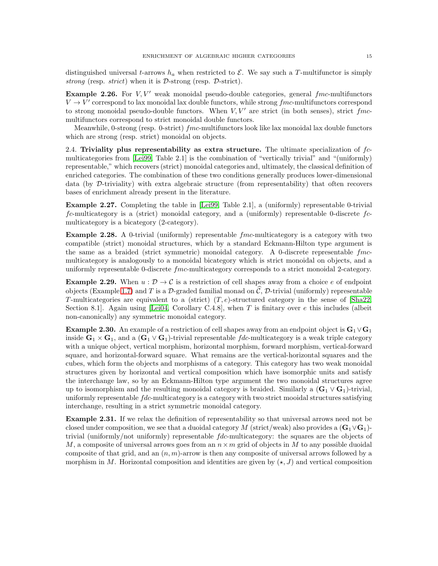distinguished universal t-arrows  $h_a$  when restricted to  $\mathcal{E}$ . We say such a T-multifunctor is simply strong (resp. strict) when it is  $\mathcal{D}\text{-strong}$  (resp.  $\mathcal{D}\text{-strict}$ ).

**Example 2.26.** For  $V, V'$  weak monoidal pseudo-double categories, general  $f$ mc-multifunctors  $V \rightarrow V'$  correspond to lax monoidal lax double functors, while strong  $fmc$ -multifunctors correspond to strong monoidal pseudo-double functors. When  $V, V'$  are strict (in both senses), strict fmcmultifunctors correspond to strict monoidal double functors.

Meanwhile, 0-strong (resp. 0-strict)  $\emph{fmc-multifunctors}$  look like lax monoidal lax double functors which are strong (resp. strict) monoidal on objects.

2.4. Triviality plus representability as extra structure. The ultimate specialization of  $fc$ multicategories from [\[Lei99,](#page-23-10) Table 2.1] is the combination of "vertically trivial" and "(uniformly) representable," which recovers (strict) monoidal categories and, ultimately, the classical definition of enriched categories. The combination of these two conditions generally produces lower-dimensional data (by D-triviality) with extra algebraic structure (from representability) that often recovers bases of enrichment already present in the literature.

Example 2.27. Completing the table in [\[Lei99,](#page-23-10) Table 2.1], a (uniformly) representable 0-trivial  $fc$ -multicategory is a (strict) monoidal category, and a (uniformly) representable 0-discrete  $fc$ multicategory is a bicategory (2-category).

**Example 2.28.** A 0-trivial (uniformly) representable  $\emph{fmc-multicategory}$  is a category with two compatible (strict) monoidal structures, which by a standard Eckmann-Hilton type argument is the same as a braided (strict symmetric) monoidal category. A 0-discrete representable fmcmulticategory is analogously to a monoidal bicategory which is strict monoidal on objects, and a uniformly representable 0-discrete fmc-multicategory corresponds to a strict monoidal 2-category.

**Example 2.29.** When  $u : \mathcal{D} \to \mathcal{C}$  is a restriction of cell shapes away from a choice e of endpoint objects (Example [1.7\)](#page-5-1) and T is a D-graded familial monad on  $\hat{C}$ , D-trivial (uniformly) representable T-multicategories are equivalent to a (strict)  $(T, e)$ -structured category in the sense of [\[Sha22,](#page-23-7) Section 8.1. Again using [\[Lei04,](#page-23-9) Corollary C.4.8], when T is finitary over  $e$  this includes (albeit non-canonically) any symmetric monoidal category.

**Example 2.30.** An example of a restriction of cell shapes away from an endpoint object is  $G_1 \vee G_1$ inside  $\mathbf{G}_1 \times \mathbf{G}_1$ , and a  $(\mathbf{G}_1 \vee \mathbf{G}_1)$ -trivial representable fdc-multicategory is a weak triple category with a unique object, vertical morphism, horizontal morphism, forward morphism, vertical-forward square, and horizontal-forward square. What remains are the vertical-horizontal squares and the cubes, which form the objects and morphisms of a category. This category has two weak monoidal structures given by horizontal and vertical composition which have isomorphic units and satisfy the interchange law, so by an Eckmann-Hilton type argument the two monoidal structures agree up to isomorphism and the resulting monoidal category is braided. Similarly a  $(G_1 \vee G_1)$ -trivial, uniformly representable fdc-multicategory is a category with two strict mooidal structures satisfying interchange, resulting in a strict symmetric monoidal category.

Example 2.31. If we relax the definition of representability so that universal arrows need not be closed under composition, we see that a duoidal category M (strict/weak) also provides a  $(G_1 \vee G_1)$ trivial (uniformly/not uniformly) representable fdc-multicategory: the squares are the objects of M, a composite of universal arrows goes from an  $n \times m$  grid of objects in M to any possible duoidal composite of that grid, and an  $(n, m)$ -arrow is then any composite of universal arrows followed by a morphism in M. Horizontal composition and identities are given by  $(\star, J)$  and vertical composition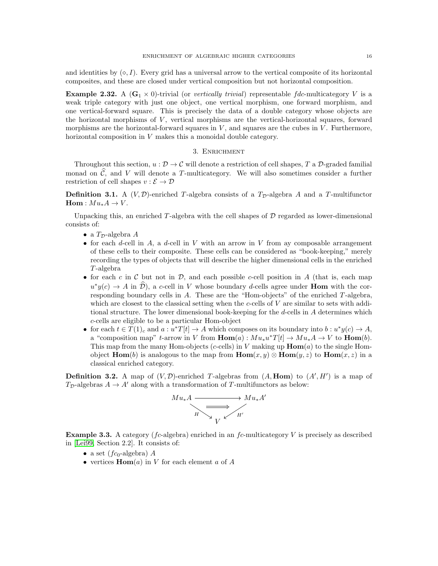and identities by  $(\diamond, I)$ . Every grid has a universal arrow to the vertical composite of its horizontal composites, and these are closed under vertical composition but not horizontal composition.

<span id="page-15-1"></span>**Example 2.32.** A ( $\mathbf{G}_1 \times 0$ )-trivial (or vertically trivial) representable fdc-multicategory V is a weak triple category with just one object, one vertical morphism, one forward morphism, and one vertical-forward square. This is precisely the data of a double category whose objects are the horizontal morphisms of  $V$ , vertical morphisms are the vertical-horizontal squares, forward morphisms are the horizontal-forward squares in  $V$ , and squares are the cubes in  $V$ . Furthermore, horizontal composition in V makes this a monoidal double category.

## 3. Enrichment

<span id="page-15-0"></span>Throughout this section,  $u : \mathcal{D} \to \mathcal{C}$  will denote a restriction of cell shapes, T a  $\mathcal{D}$ -graded familial monad on  $\hat{\mathcal{C}}$ , and V will denote a T-multicategory. We will also sometimes consider a further restriction of cell shapes  $v : \mathcal{E} \to \mathcal{D}$ 

<span id="page-15-2"></span>**Definition 3.1.** A  $(V, \mathcal{D})$ -enriched T-algebra consists of a  $T_{\mathcal{D}}$ -algebra A and a T-multifunctor  $\text{Hom}: M u_* A \to V.$ 

Unpacking this, an enriched  $T$ -algebra with the cell shapes of  $D$  regarded as lower-dimensional consists of:

- a  $T_{\mathcal{D}}$ -algebra A
- for each d-cell in A, a d-cell in V with an arrow in V from ay composable arrangement of these cells to their composite. These cells can be considered as "book-keeping," merely recording the types of objects that will describe the higher dimensional cells in the enriched  $T$ -algebra
- for each c in C but not in D, and each possible c-cell position in A (that is, each map  $u^*y(c) \to A$  in  $\hat{\mathcal{D}}$ ), a c-cell in V whose boundary d-cells agree under **Hom** with the corresponding boundary cells in A. These are the "Hom-objects" of the enriched T -algebra, which are closest to the classical setting when the c-cells of  $V$  are similar to sets with additional structure. The lower dimensional book-keeping for the d-cells in A determines which c-cells are eligible to be a particular Hom-object
- for each  $t \in T(1)_c$  and  $a: u^*T[t] \to A$  which composes on its boundary into  $b: u^*y(c) \to A$ , a "composition map" t-arrow in V from  $\text{Hom}(a): M u_* u^* T[t] \to M u_* A \to V$  to  $\text{Hom}(b)$ . This map from the many Hom-objects (c-cells) in V making up  $\text{Hom}(a)$  to the single Homobject  $\text{Hom}(b)$  is analogous to the map from  $\text{Hom}(x, y) \otimes \text{Hom}(y, z)$  to  $\text{Hom}(x, z)$  in a classical enriched category.

**Definition 3.2.** A map of  $(V, \mathcal{D})$ -enriched T-algebras from  $(A, \text{Hom})$  to  $(A', H')$  is a map of  $T_{\mathcal{D}}$ -algebras  $A \to A'$  along with a transformation of T-multifunctors as below:



<span id="page-15-3"></span>**Example 3.3.** A category ( $fc$ -algebra) enriched in an  $fc$ -multicategory V is precisely as described in [\[Lei99,](#page-23-10) Section 2.2]. It consists of:

- a set  $(f_{c_0}$ -algebra) A
- vertices  $\text{Hom}(a)$  in V for each element a of A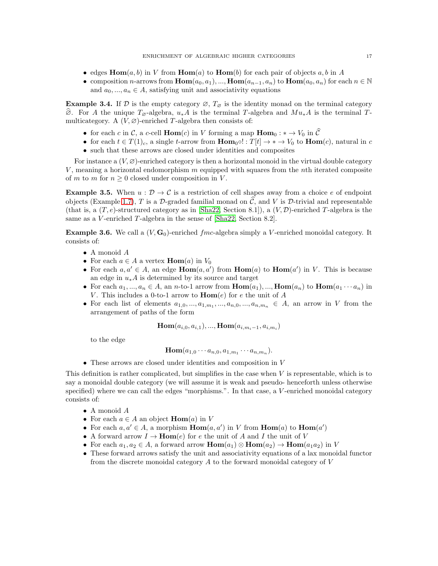- edges  $\text{Hom}(a, b)$  in V from  $\text{Hom}(a)$  to  $\text{Hom}(b)$  for each pair of objects a, b in A
- composition *n*-arrows from  $\text{Hom}(a_0, a_1), ..., \text{Hom}(a_{n-1}, a_n)$  to  $\text{Hom}(a_0, a_n)$  for each  $n \in \mathbb{N}$ and  $a_0, ..., a_n \in A$ , satisfying unit and associativity equations

**Example 3.4.** If D is the empty category  $\varnothing$ ,  $T_{\varnothing}$  is the identity monad on the terminal category  $\hat{\varnothing}$ . For A the unique  $T_{\varnothing}$ -algebra,  $u_*A$  is the terminal T-algebra and  $Mu_*A$  is the terminal Tmulticategory. A  $(V, \varnothing)$ -enriched T-algebra then consists of:

- for each c in C, a c-cell  $\text{Hom}(c)$  in V forming a map  $\text{Hom}_0: \ast \to V_0$  in  $\hat{\mathcal{C}}$
- for each  $t \in T(1)_c$ , a single t-arrow from  $\text{Hom}_{0} \circ : T[t] \to \ast \to V_0$  to  $\text{Hom}(c)$ , natural in c
- such that these arrows are closed under identities and composites

For instance a  $(V, \varnothing)$ -enriched category is then a horizontal monoid in the virtual double category V, meaning a horizontal endomorphism  $m$  equipped with squares from the nth iterated composite of m to m for  $n \geq 0$  closed under composition in V.

**Example 3.5.** When  $u : \mathcal{D} \to \mathcal{C}$  is a restriction of cell shapes away from a choice e of endpoint objects (Example [1.7\)](#page-5-1), T is a D-graded familial monad on  $\hat{\mathcal{C}}$ , and V is D-trivial and representable (that is, a  $(T, e)$ -structured category as in [\[Sha22,](#page-23-7) Section 8.1]), a  $(V, \mathcal{D})$ -enriched T-algebra is the same as a V-enriched T-algebra in the sense of [\[Sha22,](#page-23-7) Section 8.2].

<span id="page-16-0"></span>**Example 3.6.** We call a  $(V, G_0)$ -enriched  $fmc$ -algebra simply a V-enriched monoidal category. It consists of:

- A monoid A
- For each  $a \in A$  a vertex **Hom** $(a)$  in  $V_0$
- For each  $a, a' \in A$ , an edge  $Hom(a, a')$  from  $Hom(a)$  to  $Hom(a')$  in V. This is because an edge in  $u_*A$  is determined by its source and target
- For each  $a_1, ..., a_n \in A$ , an n-to-1 arrow from  $\text{Hom}(a_1), ..., \text{Hom}(a_n)$  to  $\text{Hom}(a_1 \cdots a_n)$  in V. This includes a 0-to-1 arrow to  $\text{Hom}(e)$  for e the unit of A
- For each list of elements  $a_{1,0},...,a_{1,m_1},...,a_{n,0},...,a_{n,m_n} \in A$ , an arrow in V from the arrangement of paths of the form

$$
\operatorname{Hom}(a_{i,0},a_{i,1}),...,\operatorname{Hom}(a_{i,m_i-1},a_{i,m_i})
$$

to the edge

$$
\text{Hom}(a_{1,0}\cdots a_{n,0},a_{1,m_1}\cdots a_{n,m_n}).
$$

• These arrows are closed under identities and composition in V

This definition is rather complicated, but simplifies in the case when V is representable, which is to say a monoidal double category (we will assume it is weak and pseudo- henceforth unless otherwise specified) where we can call the edges "morphisms.". In that case, a V-enriched monoidal category consists of:

- A monoid A
- For each  $a \in A$  an object  $\text{Hom}(a)$  in V
- For each  $a, a' \in A$ , a morphism  $\text{Hom}(a, a')$  in V from  $\text{Hom}(a)$  to  $\text{Hom}(a')$
- A forward arrow  $I \to \text{Hom}(e)$  for e the unit of A and I the unit of V
- For each  $a_1, a_2 \in A$ , a forward arrow  $\text{Hom}(a_1) \otimes \text{Hom}(a_2) \to \text{Hom}(a_1 a_2)$  in V
- These forward arrows satisfy the unit and associativity equations of a lax monoidal functor from the discrete monoidal category  $A$  to the forward monoidal category of  $V$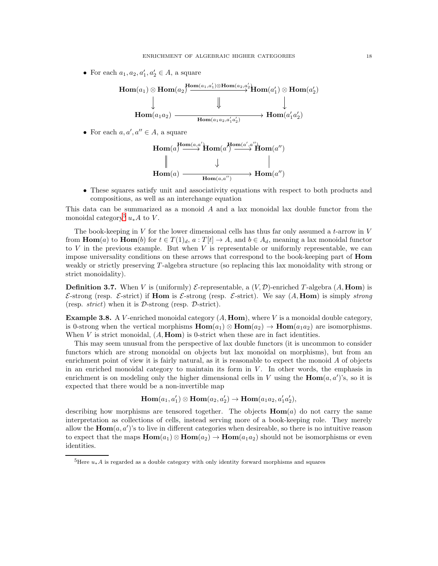• For each  $a_1, a_2, a'_1, a'_2 \in A$ , a square

$$
\text{Hom}(a_1) \otimes \text{Hom}(a_2) \xrightarrow{\text{Hom}(a_1, a'_1) \otimes \text{Hom}(a_2, a'_2)} \text{Hom}(a'_1) \otimes \text{Hom}(a'_2)
$$
\n
$$
\downarrow \qquad \qquad \downarrow \qquad \qquad \downarrow
$$
\n
$$
\text{Hom}(a_1 a_2) \xrightarrow{\text{Hom}(a_1 a_2, a'_1 a'_2)} \text{Hom}(a'_1 a'_2)
$$

• For each  $a, a', a'' \in A$ , a square

$$
\text{Hom}(a) \xrightarrow{\text{Hom}(a,a')} \text{Hom}(a') \xrightarrow{\text{Hom}(a',a'')} \text{Hom}(a'')
$$
\n
$$
\parallel \qquad \qquad \parallel \qquad \qquad \parallel
$$
\n
$$
\text{Hom}(a) \xrightarrow{\text{Hom}(a,a'')} \text{Hom}(a'')
$$

• These squares satisfy unit and associativity equations with respect to both products and compositions, as well as an interchange equation

This data can be summarized as a monoid A and a lax monoidal lax double functor from the monoidal category<sup>[5](#page-17-0)</sup>  $u_*A$  to V.

The book-keeping in  $V$  for the lower dimensional cells has thus far only assumed a t-arrow in  $V$ from  $\text{Hom}(a)$  to  $\text{Hom}(b)$  for  $t \in T(1)_d$ ,  $a : T[t] \to A$ , and  $b \in A_d$ , meaning a lax monoidal functor to  $V$  in the previous example. But when  $V$  is representable or uniformly representable, we can impose universality conditions on these arrows that correspond to the book-keeping part of Hom weakly or strictly preserving T -algebra structure (so replacing this lax monoidality with strong or strict monoidality).

**Definition 3.7.** When V is (uniformly)  $\mathcal{E}$ -representable, a  $(V, \mathcal{D})$ -enriched T-algebra  $(A, \text{Hom})$  is E-strong (resp. E-strict) if Hom is E-strong (resp. E-strict). We say (A, Hom) is simply strong (resp.  $strict)$  when it is  $D\text{-strong}$  (resp.  $D\text{-strict}$ ).

**Example 3.8.** A V-enriched monoidal category  $(A, \text{Hom})$ , where V is a monoidal double category, is 0-strong when the vertical morphisms  $\text{Hom}(a_1) \otimes \text{Hom}(a_2) \rightarrow \text{Hom}(a_1a_2)$  are isomorphisms. When V is strict monoidal,  $(A, \text{Hom})$  is 0-strict when these are in fact identities.

This may seem unusual from the perspective of lax double functors (it is uncommon to consider functors which are strong monoidal on objects but lax monoidal on morphisms), but from an enrichment point of view it is fairly natural, as it is reasonable to expect the monoid  $A$  of objects in an enriched monoidal category to maintain its form in  $V$ . In other words, the emphasis in enrichment is on modeling only the higher dimensional cells in V using the  $\text{Hom}(a, a')$ 's, so it is expected that there would be a non-invertible map

$$
\operatorname{Hom}(a_1,a'_1)\otimes \operatorname{Hom}(a_2,a'_2)\to \operatorname{Hom}(a_1a_2,a'_1a'_2),
$$

describing how morphisms are tensored together. The objects  $\mathbf{Hom}(a)$  do not carry the same interpretation as collections of cells, instead serving more of a book-keeping role. They merely allow the  $\text{Hom}(a, a')$ 's to live in different categories when desireable, so there is no intuitive reason to expect that the maps  $\text{Hom}(a_1) \otimes \text{Hom}(a_2) \to \text{Hom}(a_1 a_2)$  should not be isomorphisms or even identities.

<span id="page-17-0"></span><sup>&</sup>lt;sup>5</sup>Here  $u_*A$  is regarded as a double category with only identity forward morphisms and squares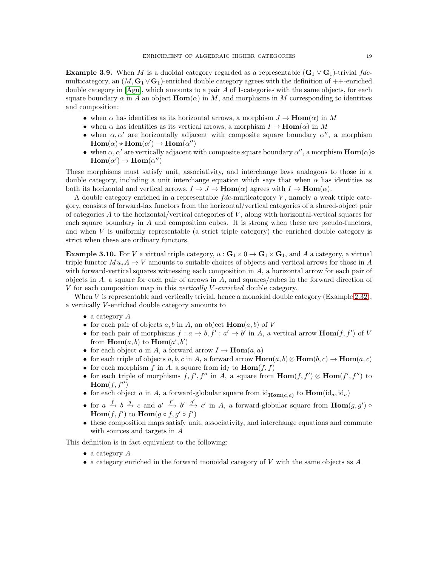**Example 3.9.** When M is a duoidal category regarded as a representable  $(G_1 \vee G_1)$ -trivial fdcmulticategory, an  $(M, \mathbf{G}_1 \vee \mathbf{G}_1)$ -enriched double category agrees with the definition of  $++$ -enriched double category in  $[A\text{g}u]$ , which amounts to a pair  $A$  of 1-categories with the same objects, for each square boundary  $\alpha$  in A an object  $\text{Hom}(\alpha)$  in M, and morphisms in M corresponding to identities and composition:

- when  $\alpha$  has identities as its horizontal arrows, a morphism  $J \to \text{Hom}(\alpha)$  in M
- when  $\alpha$  has identities as its vertical arrows, a morphism  $I \to \text{Hom}(\alpha)$  in M
- when  $\alpha, \alpha'$  are horizontally adjacent with composite square boundary  $\alpha''$ , a morphism  $\text{Hom}(\alpha) \star \text{Hom}(\alpha') \to \text{Hom}(\alpha'')$
- when  $\alpha, \alpha'$  are vertically adjacent with composite square boundary  $\alpha''$ , a morphism  $\text{Hom}(\alpha)$  $\text{Hom}(\alpha') \to \text{Hom}(\alpha'')$

These morphisms must satisfy unit, associativity, and interchange laws analogous to those in a double category, including a unit interchange equation which says that when  $\alpha$  has identities as both its horizontal and vertical arrows,  $I \to J \to \text{Hom}(\alpha)$  agrees with  $I \to \text{Hom}(\alpha)$ .

A double category enriched in a representable  $fdc$ -multicategory  $V$ , namely a weak triple category, consists of forward-lax functors from the horizontal/vertical categories of a shared-object pair of categories  $A$  to the horizontal/vertical categories of  $V$ , along with horizontal-vertical squares for each square boundary in  $A$  and composition cubes. It is strong when these are pseudo-functors, and when  $V$  is uniformly representable (a strict triple category) the enriched double category is strict when these are ordinary functors.

<span id="page-18-0"></span>**Example 3.10.** For V a virtual triple category,  $u : G_1 \times 0 \to G_1 \times G_1$ , and A a category, a virtual triple functor  $Mu_*A \to V$  amounts to suitable choices of objects and vertical arrows for those in A with forward-vertical squares witnessing each composition in A, a horizontal arrow for each pair of objects in  $A$ , a square for each pair of arrows in  $A$ , and squares/cubes in the forward direction of V for each composition map in this vertically V -enriched double category.

When V is representable and vertically trivial, hence a monoidal double category (Example [2.32\)](#page-15-1), a vertically V -enriched double category amounts to

- a category  $A$
- for each pair of objects a, b in A, an object  $\text{Hom}(a, b)$  of V
- for each pair of morphisms  $f: a \to b$ ,  $f': a' \to b'$  in A, a vertical arrow  $\text{Hom}(f, f')$  of V from  $\text{Hom}(a, b)$  to  $\text{Hom}(a', b')$
- for each object a in A, a forward arrow  $I \to \text{Hom}(a, a)$
- for each triple of objects  $a, b, c$  in A, a forward arrow  $\text{Hom}(a, b) \otimes \text{Hom}(b, c) \to \text{Hom}(a, c)$
- for each morphism f in A, a square from  $id<sub>I</sub>$  to  $\text{Hom}(f, f)$
- for each triple of morphisms  $f, f', f''$  in A, a square from  $\text{Hom}(f, f') \otimes \text{Hom}(f', f'')$  to  $\text{Hom}(f, f'')$
- for each object a in A, a forward-globular square from  $id_{\text{Hom}(a,a)}$  to  $\text{Hom}(id_a, id_a)$
- for  $a \xrightarrow{f} b \xrightarrow{g} c$  and  $a' \xrightarrow{f'} b' \xrightarrow{g'} c'$  in A, a forward-globular square from  $\text{Hom}(g, g')$  $\text{Hom}(f, f')$  to  $\text{Hom}(g \circ f, g' \circ f')$
- these composition maps satisfy unit, associativity, and interchange equations and commute with sources and targets in A

This definition is in fact equivalent to the following:

- a category  $A$
- a category enriched in the forward monoidal category of V with the same objects as  $A$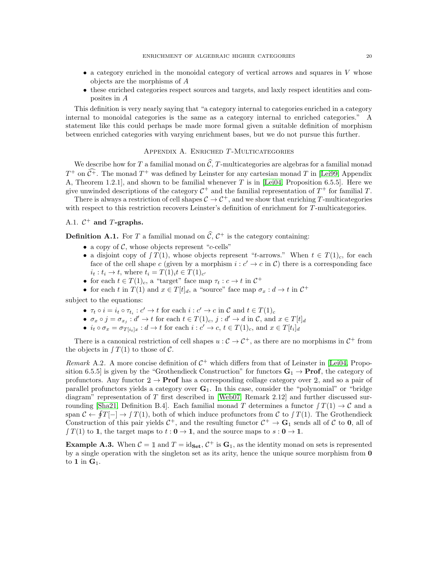- a category enriched in the monoidal category of vertical arrows and squares in V whose objects are the morphisms of A
- these enriched categories respect sources and targets, and laxly respect identities and composites in A

This definition is very nearly saying that "a category internal to categories enriched in a category internal to monoidal categories is the same as a category internal to enriched categories." A statement like this could perhaps be made more formal given a suitable definition of morphism between enriched categories with varying enrichment bases, but we do not pursue this further.

# APPENDIX A. ENRICHED T-MULTICATEGORIES

<span id="page-19-0"></span>We describe how for T a familial monad on  $\hat{C}$ , T-multicategories are algebras for a familial monad  $T^+$  on  $\mathcal{C}^+$ . The monad  $T^+$  was defined by Leinster for any cartesian monad T in [\[Lei99,](#page-23-10) Appendix A, Theorem 1.2.1], and shown to be familial whenever T is in [\[Lei04,](#page-23-9) Proposition 6.5.5]. Here we give unwinded descriptions of the category  $C^+$  and the familial representation of  $T^+$  for familial T.

There is always a restriction of cell shapes  $C \to C^+$ , and we show that enriching T-multicategories with respect to this restriction recovers Leinster's definition of enrichment for T-multicategories.

# A.1.  $C^+$  and T-graphs.

**Definition A.1.** For T a familial monad on  $\hat{\mathcal{C}}$ ,  $\mathcal{C}^+$  is the category containing:

- a copy of  $\mathcal{C}$ , whose objects represent "c-cells"
- a disjoint copy of  $\int T(1)$ , whose objects represent "t-arrows." When  $t \in T(1)_c$ , for each face of the cell shape c (given by a morphism  $i : c' \to c$  in C) there is a corresponding face  $i_t : t_i \to t$ , where  $t_i = T(1)_i t \in T(1)_{c'}$
- for each  $t \in T(1)_c$ , a "target" face map  $\tau_t : c \to t$  in  $C^+$
- for each t in  $T(1)$  and  $x \in T[t]_d$ , a "source" face map  $\sigma_x : d \to t$  in  $C^+$

subject to the equations:

- $\tau_t \circ i = i_t \circ \tau_{t_i} : c' \to t$  for each  $i : c' \to c$  in  $\mathcal{C}$  and  $t \in T(1)_c$
- $\sigma_x \circ j = \sigma_{x_j} : d' \to t$  for each  $t \in T(1)_c$ ,  $j : d' \to d$  in  $\mathcal{C}$ , and  $x \in T[t]_d$
- $i_t \circ \sigma_x = \sigma_{T[i_t]x} : d \to t$  for each  $i : c' \to c, t \in T(1)_c$ , and  $x \in T[t_i]_d$

There is a canonical restriction of cell shapes  $u : C \to C^+$ , as there are no morphisms in  $C^+$  from the objects in  $\int T(1)$  to those of  $\mathcal{C}$ .

Remark A.2. A more concise definition of  $C^+$  which differs from that of Leinster in [\[Lei04,](#page-23-9) Proposition 6.5.5] is given by the "Grothendieck Construction" for functors  $\mathbf{G}_1 \to \mathbf{Prof}$ , the category of profunctors. Any functor  $2 \rightarrow$  **Prof** has a corresponding collage category over 2, and so a pair of parallel profunctors yields a category over  $G_1$ . In this case, consider the "polynomial" or "bridge diagram" representation of T first described in [\[Web07,](#page-23-15) Remark 2.12] and further discussed sur-rounding [\[Sha21,](#page-23-12) Definition B.4]. Each familial monad T determines a functor  $\int T(1) \rightarrow C$  and a span  $\mathcal{C} \leftarrow \oint T[-] \rightarrow \int T(1)$ , both of which induce profunctors from  $\mathcal{C}$  to  $\int T(1)$ . The Grothendieck Construction of this pair yields  $C^+$ , and the resulting functor  $C^+ \to \mathbf{G}_1$  sends all of C to 0, all of  $\int T(1)$  to 1, the target maps to  $t: 0 \to 1$ , and the source maps to  $s: 0 \to 1$ .

**Example A.3.** When  $C = \mathbb{1}$  and  $T = id_{\mathbf{Set}}, C^+$  is  $\mathbf{G}_1$ , as the identity monad on sets is represented by a single operation with the singleton set as its arity, hence the unique source morphism from 0 to 1 in  $G_1$ .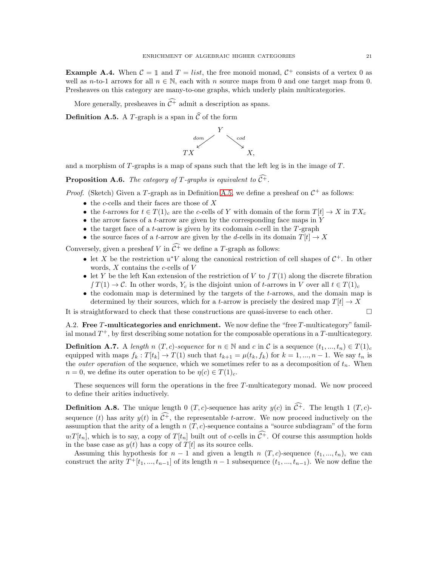**Example A.4.** When  $C = \mathbb{1}$  and  $T = list$ , the free monoid monad,  $C^+$  consists of a vertex 0 as well as n-to-1 arrows for all  $n \in \mathbb{N}$ , each with n source maps from 0 and one target map from 0. Presheaves on this category are many-to-one graphs, which underly plain multicategories.

<span id="page-20-0"></span>More generally, presheaves in  $\widehat{\mathcal{C}^+}$  admit a description as spans.

**Definition A.5.** A T-graph is a span in  $\widehat{C}$  of the form



<span id="page-20-3"></span>and a morphism of  $T$ -graphs is a map of spans such that the left leg is in the image of  $T$ .

**Proposition A.6.** The category of T-graphs is equivalent to  $\widehat{C}^+$ .

*Proof.* (Sketch) Given a T-graph as in Definition [A.5,](#page-20-0) we define a presheaf on  $C^+$  as follows:

- the c-cells and their faces are those of  $X$
- the t-arrows for  $t \in T(1)_{c}$  are the c-cells of Y with domain of the form  $T[t] \rightarrow X$  in  $TX_{c}$
- $\bullet$  the arrow faces of a *t*-arrow are given by the corresponding face maps in Y
- $\bullet$  the target face of a *t*-arrow is given by its codomain *c*-cell in the *T*-graph
- the source faces of a t-arrow are given by the d-cells in its domain  $T[t] \rightarrow X$

Conversely, given a presheaf V in  $\widehat{\mathcal{C}^+}$  we define a T-graph as follows:

- let X be the restriction  $u^*V$  along the canonical restriction of cell shapes of  $\mathcal{C}^+$ . In other words,  $X$  contains the  $c$ -cells of  $V$
- let Y be the left Kan extension of the restriction of V to  $\int T(1)$  along the discrete fibration  $\int T(1) \to \mathcal{C}$ . In other words,  $Y_c$  is the disjoint union of t-arrows in V over all  $t \in T(1)_c$ .
- the codomain map is determined by the targets of the t-arrows, and the domain map is determined by their sources, which for a t-arrow is precisely the desired map  $T[t] \rightarrow X$

It is straightforward to check that these constructions are quasi-inverse to each other.  $\Box$ 

<span id="page-20-2"></span>A.2. Free  $T$ -multicategories and enrichment. We now define the "free  $T$ -multicategory" familial monad  $T^+$ , by first describing some notation for the composable operations in a  $T$ -multicategory.

**Definition A.7.** A length n  $(T, c)$ -sequence for  $n \in \mathbb{N}$  and c in C is a sequence  $(t_1, ..., t_n) \in T(1)_c$ equipped with maps  $f_k: T[t_k] \to T(1)$  such that  $t_{k+1} = \mu(t_k, f_k)$  for  $k = 1, ..., n-1$ . We say  $t_n$  is the *outer operation* of the sequence, which we sometimes refer to as a decomposition of  $t_n$ . When  $n = 0$ , we define its outer operation to be  $\eta(c) \in T(1)_c$ .

<span id="page-20-1"></span>These sequences will form the operations in the free T-multicategory monad. We now proceed to define their arities inductively.

**Definition A.8.** The unique length 0  $(T, c)$ -sequence has arity  $y(c)$  in  $\widehat{C}$ <sup>+</sup>. The length 1  $(T, c)$ sequence (t) has arity  $y(t)$  in  $\widehat{C}^+$ , the representable t-arrow. We now proceed inductively on the assumption that the arity of a length  $n(T, c)$ -sequence contains a "source subdiagram" of the form  $u_1T[t_n]$ , which is to say, a copy of  $T[t_n]$  built out of c-cells in  $\widehat{\mathcal{C}}^+$ . Of course this assumption holds in the base case as  $y(t)$  has a copy of  $T[t]$  as its source cells.

Assuming this hypothesis for  $n-1$  and given a length n  $(T, c)$ -sequence  $(t_1, ..., t_n)$ , we can construct the arity  $T^+[t_1, ..., t_{n-1}]$  of its length  $n-1$  subsequence  $(t_1, ..., t_{n-1})$ . We now define the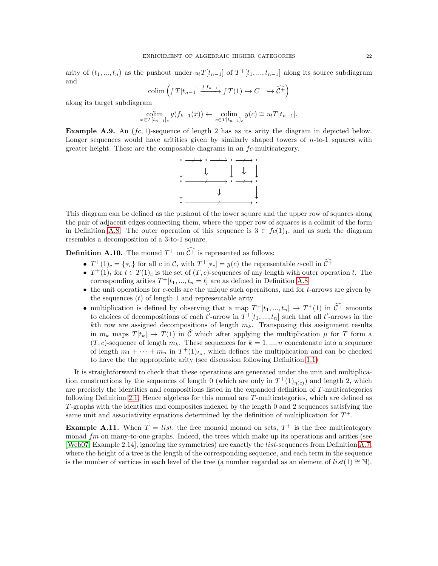arity of  $(t_1, ..., t_n)$  as the pushout under  $u_1T[t_{n-1}]$  of  $T^+[t_1, ..., t_{n-1}]$  along its source subdiagram and

$$
\operatorname{colim}\left(\int T[t_{n-1}] \xrightarrow{f_{n-1}} f T(1) \hookrightarrow C^+ \hookrightarrow \widehat{C^+}\right)
$$

along its target subdiagram

$$
\underset{x \in T[t_{n-1}]_c}{\text{colim}} y(f_{k-1}(x)) \leftarrow \underset{x \in T[t_{n-1}]_c}{\text{colim}} y(c) \cong u_!T[t_{n-1}].
$$

**Example A.9.** An  $fc, 1)$ -sequence of length 2 has as its arity the diagram in depicted below. Longer sequences would have aritities given by similarly shaped towers of  $n$ -to-1 squares with greater height. These are the composable diagrams in an fc-multicategory.



This diagram can be defined as the pushout of the lower square and the upper row of squares along the pair of adjacent edges connecting them, where the upper row of squares is a colimit of the form in Definition [A.8.](#page-20-1) The outer operation of this sequence is  $3 \in fc(1)_1$ , and as such the diagram resembles a decomposition of a 3-to-1 square.

**Definition A.10.** The monad  $T^+$  on  $C^+$  is represented as follows:

- $T^+(1)_c = \{*_c\}$  for all c in C, with  $T^+[*_c] = y(c)$  the representable c-cell in  $C^+$
- $T^+(1)_t$  for  $t \in T(1)_c$  is the set of  $(T, c)$ -sequences of any length with outer operation t. The corresponding arities  $T^+[t_1, ..., t_n = t]$  are as defined in Definition [A.8.](#page-20-1)
- $\bullet$  the unit operations for c-cells are the unique such operations, and for t-arrows are given by the sequences  $(t)$  of length 1 and representable arity
- multiplication is defined by observing that a map  $T^+[t_1, ..., t_n] \to T^+(1)$  in  $\mathcal{C}^+$  amounts to choices of decompositions of each  $t'$ -arrow in  $T^+[t_1, ..., t_n]$  such that all  $t'$ -arrows in the kth row are assigned decompositions of length  $m_k$ . Transposing this assignment results in  $m_k$  maps  $T[t_k] \to T(1)$  in  $\hat{\mathcal{C}}$  which after applying the multiplication  $\mu$  for T form a  $(T, c)$ -sequence of length  $m_k$ . These sequences for  $k = 1, ..., n$  concatenate into a sequence of length  $m_1 + \cdots + m_n$  in  $T^+(1)_{t_n}$ , which defines the multiplication and can be checked to have the the appropriate arity (see discussion following Definition [1.1\)](#page-3-3)

It is straightforward to check that these operations are generated under the unit and multiplication constructions by the sequences of length 0 (which are only in  $T^+(1)_{\eta(c)})$  and length 2, which are precisely the identities and compositions listed in the expanded definition of T-multicategories following Definition [2.1.](#page-7-1) Hence algebras for this monad are T-multicategories, which are defined as T -graphs with the identities and composites indexed by the length 0 and 2 sequences satisfying the same unit and associativity equations determined by the definition of multiplication for  $T^+$ .

**Example A.11.** When  $T = list$ , the free monoid monad on sets,  $T^+$  is the free multicategory monad  $fm$  on many-to-one graphs. Indeed, the trees which make up its operations and arities (see [\[Web07,](#page-23-15) Example 2.14], ignoring the symmetries) are exactly the list-sequences from Definition [A.7,](#page-20-2) where the height of a tree is the length of the corresponding sequence, and each term in the sequence is the number of vertices in each level of the tree (a number regarded as an element of  $list(1) \cong N$ ).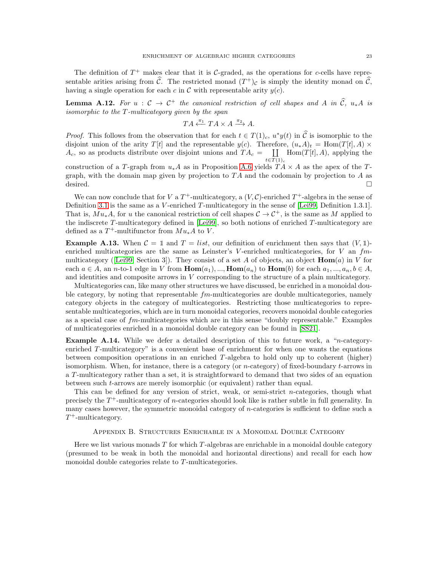The definition of  $T^+$  makes clear that it is C-graded, as the operations for c-cells have representable arities arising from  $\hat{\mathcal{C}}$ . The restricted monad  $(T^+)_\mathcal{C}$  is simply the identity monad on  $\hat{\mathcal{C}}$ , having a single operation for each c in  $\mathcal C$  with representable arity  $y(c)$ .

**Lemma A.12.** For  $u : \mathcal{C} \to \mathcal{C}^+$  the canonical restriction of cell shapes and A in  $\hat{\mathcal{C}}$ ,  $u_*A$  is isomorphic to the  $T$ -multicategory given by the span

$$
TA \xleftarrow{\pi_1} TA \times A \xrightarrow{\pi_2} A.
$$

*Proof.* This follows from the observation that for each  $t \in T(1)_c$ ,  $u^*y(t)$  in  $\hat{C}$  is isomorphic to the disjoint union of the arity  $T[t]$  and the representable  $y(c)$ . Therefore,  $(u_*A)_t = \text{Hom}(T[t], A) \times$  $A_c$ , so as products distribute over disjoint unions and  $TA_c =$  [  $t \in T(1)_c$  $Hom(T[t], A)$ , applying the

construction of a T-graph from  $u_*A$  as in Proposition [A.6](#page-20-3) yields  $TA \times A$  as the apex of the Tgraph, with the domain map given by projection to  $TA$  and the codomain by projection to A as desired.

We can now conclude that for V a  $T^+$ -multicategory, a  $(V, \mathcal{C})$ -enriched  $T^+$ -algebra in the sense of Definition [3.1](#page-15-2) is the same as a V-enriched T-multicategory in the sense of [\[Lei99,](#page-23-10) Definition 1.3.1]. That is,  $Mu_*A$ , for u the canonical restriction of cell shapes  $C \to C^+$ , is the same as M applied to the indiscrete T-multicategory defined in  $[Lei99]$ , so both notions of enriched T-multicategory are defined as a  $T^+$ -multifunctor from  $Mu_*A$  to V.

<span id="page-22-2"></span>**Example A.13.** When  $C = \mathbb{1}$  and  $T = list$ , our definition of enrichment then says that  $(V, \mathbb{1})$ enriched multicategories are the same as Leinster's V-enriched multicategories, for V an  $fm$ -multicategory ([\[Lei99,](#page-23-10) Section 3]). They consist of a set A of objects, an object  $\text{Hom}(a)$  in V for each  $a \in A$ , an n-to-1 edge in V from  $\text{Hom}(a_1), \dots, \text{Hom}(a_n)$  to  $\text{Hom}(b)$  for each  $a_1, \dots, a_n, b \in A$ , and identities and composite arrows in V corresponding to the structure of a plain multicategory.

Multicategories can, like many other structures we have discussed, be enriched in a monoidal double category, by noting that representable  $fm$ -multicategories are double multicategories, namely category objects in the category of multicategories. Restricting those multicategories to representable multicategories, which are in turn monoidal categories, recovers monoidal double categories as a special case of fm-multicategories which are in this sense "doubly representable." Examples of multicategories enriched in a monoidal double category can be found in [\[SS21\]](#page-23-8).

<span id="page-22-1"></span>**Example A.14.** While we defer a detailed description of this to future work, a "*n*-categoryenriched  $T$ -multicategory" is a convenient base of enrichment for when one wants the equations between composition operations in an enriched T -algebra to hold only up to coherent (higher) isomorphism. When, for instance, there is a category (or *n*-category) of fixed-boundary  $t$ -arrows in a T -multicategory rather than a set, it is straightforward to demand that two sides of an equation between such t-arrows are merely isomorphic (or equivalent) rather than equal.

This can be defined for any version of strict, weak, or semi-strict n-categories, though what precisely the  $T^+$ -multicategory of *n*-categories should look like is rather subtle in full generality. In many cases however, the symmetric monoidal category of  $n$ -categories is sufficient to define such a  $T^+$ -multicategory.

### Appendix B. Structures Enrichable in a Monoidal Double Category

<span id="page-22-0"></span>Here we list various monads  $T$  for which  $T$ -algebras are enrichable in a monoidal double category (presumed to be weak in both the monoidal and horizontal directions) and recall for each how monoidal double categories relate to T-multicategories.